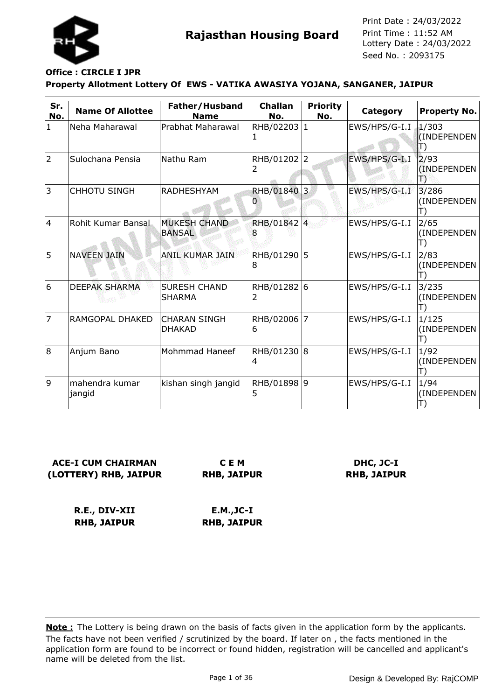

### **Property Allotment Lottery Of EWS - VATIKA AWASIYA YOJANA, SANGANER, JAIPUR Office : CIRCLE I JPR**

| Sr.<br>No.   | <b>Name Of Allottee</b>   | Father/Husband<br><b>Name</b>        | <b>Challan</b><br>No. | <b>Priority</b><br>No. | Category      | <b>Property No.</b>  |
|--------------|---------------------------|--------------------------------------|-----------------------|------------------------|---------------|----------------------|
| $\mathbf{1}$ | Neha Maharawal            | Prabhat Maharawal                    | RHB/02203 1           |                        | EWS/HPS/G-I.I | 1/303<br>(INDEPENDEN |
| 2            | Sulochana Pensia          | Nathu Ram                            | RHB/01202 2           |                        | EWS/HPS/G-I.I | 2/93<br>(INDEPENDEN  |
| 3            | <b>CHHOTU SINGH</b>       | <b>RADHESHYAM</b>                    | RHB/01840 3           |                        | EWS/HPS/G-I.I | 3/286<br>(INDEPENDEN |
| 4            | Rohit Kumar Bansal        | <b>MUKESH CHAND</b><br><b>BANSAL</b> | RHB/01842 4<br>8      |                        | EWS/HPS/G-I.I | 2/65<br>(INDEPENDEN  |
| 5            | <b>NAVEEN JAIN</b>        | <b>ANIL KUMAR JAIN</b>               | RHB/01290<br>8        | 15                     | EWS/HPS/G-I.I | 2/83<br>(INDEPENDEN  |
| 6            | <b>DEEPAK SHARMA</b>      | <b>SURESH CHAND</b><br><b>SHARMA</b> | RHB/01282 6<br>2      |                        | EWS/HPS/G-I.I | 3/235<br>(INDEPENDEN |
| 7            | RAMGOPAL DHAKED           | <b>CHARAN SINGH</b><br><b>DHAKAD</b> | RHB/02006<br>6        | $\overline{7}$         | EWS/HPS/G-I.I | 1/125<br>(INDEPENDEN |
| 8            | Anjum Bano                | Mohmmad Haneef                       | RHB/01230<br>4        | 8                      | EWS/HPS/G-I.I | 1/92<br>(INDEPENDEN  |
| 9            | mahendra kumar<br> jangid | kishan singh jangid                  | RHB/01898 9           |                        | EWS/HPS/G-I.I | 1/94<br>(INDEPENDEN  |

**ACE-I CUM CHAIRMAN (LOTTERY) RHB, JAIPUR**

**C E M RHB, JAIPUR**

**DHC, JC-I RHB, JAIPUR**

**R.E., DIV-XII RHB, JAIPUR E.M.,JC-I RHB, JAIPUR**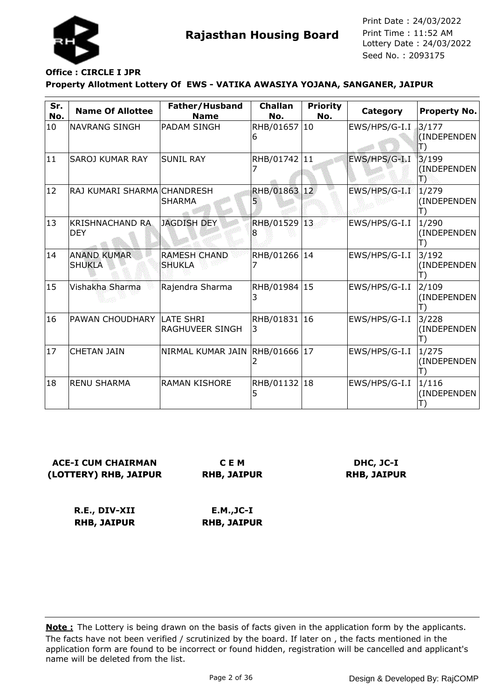

#### **Property Allotment Lottery Of EWS - VATIKA AWASIYA YOJANA, SANGANER, JAIPUR Office : CIRCLE I JPR**

| Sr.<br>No. | <b>Name Of Allottee</b>              | Father/Husband<br><b>Name</b>        | <b>Challan</b><br>No. | <b>Priority</b><br>No. | Category      | Property No.               |
|------------|--------------------------------------|--------------------------------------|-----------------------|------------------------|---------------|----------------------------|
| 10         | <b>NAVRANG SINGH</b>                 | IPADAM SINGH                         | RHB/01657 10<br>6     |                        | EWS/HPS/G-I.I | 3/177<br>(INDEPENDEN<br>T) |
| 11         | SAROJ KUMAR RAY                      | <b>SUNIL RAY</b>                     | RHB/01742 11          |                        | EWS/HPS/G-I.I | 3/199<br>(INDEPENDEN<br>Т  |
| 12         | RAJ KUMARI SHARMA CHANDRESH          | <b>SHARMA</b>                        | <b>RHB/01863</b>      | $ 12\rangle$           | EWS/HPS/G-I.I | 1/279<br>(INDEPENDEN<br>T) |
| 13         | <b>KRISHNACHAND RA</b><br><b>DEY</b> | <b>JAGDISH DEY</b>                   | RHB/01529 13          |                        | EWS/HPS/G-I.I | 1/290<br>(INDEPENDEN       |
| 14         | <b>ANAND KUMAR</b><br><b>SHUKLA</b>  | <b>RAMESH CHAND</b><br><b>SHUKLA</b> | RHB/01266 14          |                        | EWS/HPS/G-I.I | 3/192<br>(INDEPENDEN       |
| 15         | Vishakha Sharma                      | Rajendra Sharma                      | RHB/01984 15<br>3     |                        | EWS/HPS/G-I.I | 2/109<br>(INDEPENDEN       |
| 16         | PAWAN CHOUDHARY LATE SHRI            | RAGHUVEER SINGH                      | RHB/01831  16<br>3    |                        | EWS/HPS/G-I.I | 3/228<br>(INDEPENDEN       |
| 17         | <b>CHETAN JAIN</b>                   | NIRMAL KUMAR JAIN                    | RHB/01666 17          |                        | EWS/HPS/G-I.I | 1/275<br>(INDEPENDEN       |
| 18         | <b>RENU SHARMA</b>                   | <b>RAMAN KISHORE</b>                 | RHB/01132 18          |                        | EWS/HPS/G-I.I | 1/116<br>(INDEPENDEN       |

**ACE-I CUM CHAIRMAN (LOTTERY) RHB, JAIPUR**

**C E M RHB, JAIPUR**

**DHC, JC-I RHB, JAIPUR**

**R.E., DIV-XII RHB, JAIPUR**

**E.M.,JC-I RHB, JAIPUR**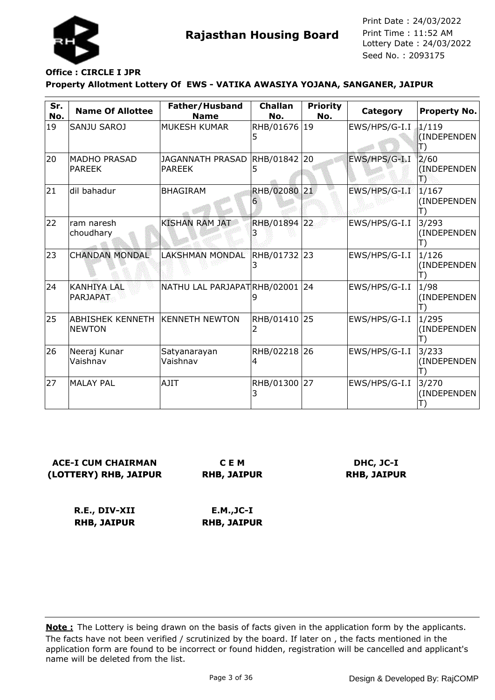

## **Office : CIRCLE I JPR**

### **Property Allotment Lottery Of EWS - VATIKA AWASIYA YOJANA, SANGANER, JAIPUR**

| Sr.<br>No. | <b>Name Of Allottee</b>                  | Father/Husband<br><b>Name</b>            | <b>Challan</b><br>No. | <b>Priority</b><br>No. | Category      | <b>Property No.</b>        |
|------------|------------------------------------------|------------------------------------------|-----------------------|------------------------|---------------|----------------------------|
| 19         | SANJU SAROJ                              | <b>MUKESH KUMAR</b>                      | RHB/01676 19<br>5     |                        | EWS/HPS/G-I.I | 1/119<br>(INDEPENDEN<br>T) |
| 20         | <b>MADHO PRASAD</b><br><b>PAREEK</b>     | <b>JAGANNATH PRASAD</b><br><b>PAREEK</b> | RHB/01842 20<br>5     |                        | EWS/HPS/G-I.I | 2/60<br>(INDEPENDEN<br>鳵   |
| 21         | dil bahadur                              | <b>BHAGIRAM</b>                          | <b>RHB/02080</b><br>6 | 21                     | EWS/HPS/G-I.I | 1/167<br>(INDEPENDEN       |
| 22         | ram naresh<br>choudhary                  | <b>KISHAN RAM JAT</b>                    | RHB/01894 22          |                        | EWS/HPS/G-I.I | 3/293<br>(INDEPENDEN       |
| 23         | <b>CHANDAN MONDAL</b>                    | <b>LAKSHMAN MONDAL</b>                   | RHB/01732 23<br>3     |                        | EWS/HPS/G-I.I | 1/126<br>(INDEPENDEN       |
| 24         | <b>KANHIYA LAL</b><br><b>PARJAPAT</b>    | NATHU LAL PARJAPATRHB/02001              | 9                     | 24                     | EWS/HPS/G-I.I | 1/98<br>(INDEPENDEN<br>I)  |
| 25         | <b>ABHISHEK KENNETH</b><br><b>NEWTON</b> | <b>KENNETH NEWTON</b>                    | RHB/01410<br>2        | 25                     | EWS/HPS/G-I.I | 1/295<br>(INDEPENDEN       |
| 26         | Neeraj Kunar<br>Vaishnav                 | Satyanarayan<br>Vaishnav                 | RHB/02218 26<br>4     |                        | EWS/HPS/G-I.I | 3/233<br>(INDEPENDEN<br>T) |
| 27         | <b>MALAY PAL</b>                         | <b>AJIT</b>                              | RHB/01300 27<br>3     |                        | EWS/HPS/G-I.I | 3/270<br>(INDEPENDEN       |

**ACE-I CUM CHAIRMAN (LOTTERY) RHB, JAIPUR**

**C E M RHB, JAIPUR**

**DHC, JC-I RHB, JAIPUR**

**R.E., DIV-XII RHB, JAIPUR E.M.,JC-I RHB, JAIPUR**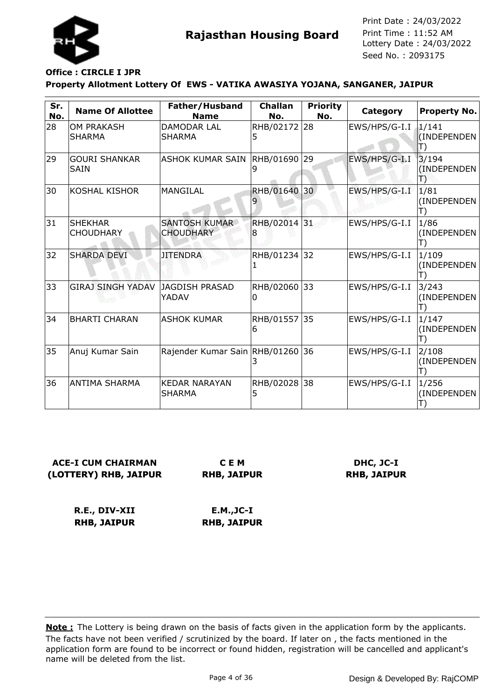

## **Office : CIRCLE I JPR**

### **Property Allotment Lottery Of EWS - VATIKA AWASIYA YOJANA, SANGANER, JAIPUR**

| Sr.<br>No. | <b>Name Of Allottee</b>             | Father/Husband<br><b>Name</b>            | <b>Challan</b><br>No. | <b>Priority</b><br>No. | Category      | <b>Property No.</b>       |
|------------|-------------------------------------|------------------------------------------|-----------------------|------------------------|---------------|---------------------------|
| 28         | <b>OM PRAKASH</b><br><b>SHARMA</b>  | <b>DAMODAR LAL</b><br><b>SHARMA</b>      | RHB/02172 28<br>5     |                        | EWS/HPS/G-I.I | 1/141<br>(INDEPENDEN      |
| 29         | <b>GOURI SHANKAR</b><br><b>SAIN</b> | <b>ASHOK KUMAR SAIN</b>                  | RHB/01690<br>9        | 29                     | EWS/HPS/G-I.I | 3/194<br>(INDEPENDEN<br>B |
| 30         | <b>KOSHAL KISHOR</b>                | <b>MANGILAL</b>                          | <b>RHB/01640</b>      | 30 <sub>2</sub>        | EWS/HPS/G-I.I | 1/81<br>(INDEPENDEN       |
| 31         | <b>SHEKHAR</b><br><b>CHOUDHARY</b>  | <b>SANTOSH KUMAR</b><br><b>CHOUDHARY</b> | RHB/02014 31<br>8     |                        | EWS/HPS/G-I.I | 1/86<br>(INDEPENDEN       |
| 32         | <b>SHARDA DEVI</b>                  | <b>JITENDRA</b>                          | RHB/01234 32          |                        | EWS/HPS/G-I.I | 1/109<br>(INDEPENDEN      |
| 33         | <b>GIRAJ SINGH YADAV</b>            | JAGDISH PRASAD<br>YADAV                  | RHB/02060<br>0        | 33                     | EWS/HPS/G-I.I | 3/243<br>(INDEPENDEN      |
| 34         | <b>BHARTI CHARAN</b>                | <b>ASHOK KUMAR</b>                       | RHB/01557<br>6        | $ 35\rangle$           | EWS/HPS/G-I.I | 1/147<br>(INDEPENDEN      |
| 35         | Anuj Kumar Sain                     | Rajender Kumar Sain RHB/01260            |                       | 36                     | EWS/HPS/G-I.I | 2/108<br>(INDEPENDEN      |
| 36         | ANTIMA SHARMA                       | <b>KEDAR NARAYAN</b><br><b>SHARMA</b>    | RHB/02028<br>5        | 38                     | EWS/HPS/G-I.I | 1/256<br>(INDEPENDEN      |

**ACE-I CUM CHAIRMAN (LOTTERY) RHB, JAIPUR**

**C E M RHB, JAIPUR**

**DHC, JC-I RHB, JAIPUR**

**R.E., DIV-XII RHB, JAIPUR**

**E.M.,JC-I RHB, JAIPUR**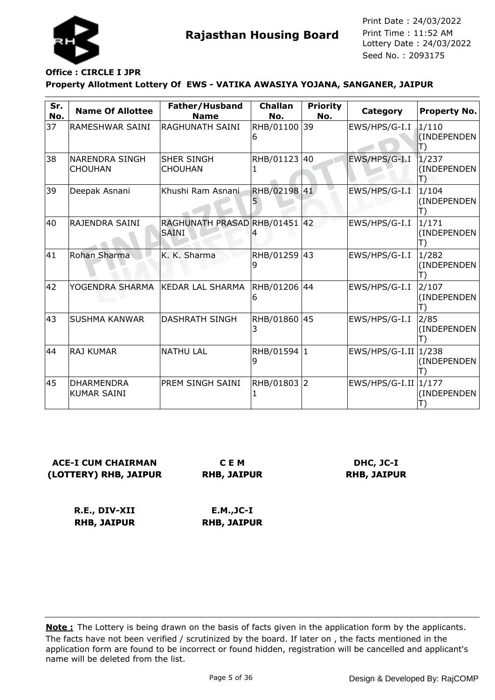

# **Office : CIRCLE I JPR**

### **Property Allotment Lottery Of EWS - VATIKA AWASIYA YOJANA, SANGANER, JAIPUR**

| Sr.<br>No. | <b>Name Of Allottee</b>                 | Father/Husband<br><b>Name</b>                 | <b>Challan</b><br>No. | <b>Priority</b><br>No. | Category         | <b>Property No.</b>        |
|------------|-----------------------------------------|-----------------------------------------------|-----------------------|------------------------|------------------|----------------------------|
| 37         | RAMESHWAR SAINI                         | RAGHUNATH SAINI                               | RHB/01100 39<br>6     |                        | EWS/HPS/G-I.I    | 1/110<br>(INDEPENDEN<br>Π) |
| 38         | NARENDRA SINGH<br><b>CHOUHAN</b>        | <b>SHER SINGH</b><br><b>CHOUHAN</b>           | RHB/01123             | 40                     | EWS/HPS/G-I.I    | 1/237<br>(INDEPENDEN<br>B  |
| 39         | Deepak Asnani                           | Khushi Ram Asnani                             | <b>RHB/02198</b>      | 41                     | EWS/HPS/G-I.I    | 1/104<br>(INDEPENDEN<br>T) |
| 40         | RAJENDRA SAINI                          | RAGHUNATH PRASAD RHB/01451 42<br><b>SAINI</b> |                       |                        | EWS/HPS/G-I.I    | 1/171<br>(INDEPENDEN       |
| 41         | Rohan Sharma                            | K. K. Sharma                                  | RHB/01259 43<br>9     |                        | EWS/HPS/G-I.I    | 1/282<br>(INDEPENDEN       |
| 42         | YOGENDRA SHARMA                         | <b>KEDAR LAL SHARMA</b>                       | RHB/01206<br>6        | 44                     | EWS/HPS/G-I.I    | 2/107<br>(INDEPENDEN       |
| 43         | <b>SUSHMA KANWAR</b>                    | <b>DASHRATH SINGH</b>                         | RHB/01860 45<br>3     |                        | EWS/HPS/G-I.I    | 2/85<br>(INDEPENDEN        |
| 44         | <b>RAJ KUMAR</b>                        | <b>NATHU LAL</b>                              | RHB/01594 1<br>9      |                        | EWS/HPS/G-I.II   | 1/238<br>(INDEPENDEN       |
| 45         | <b>DHARMENDRA</b><br><b>KUMAR SAINI</b> | PREM SINGH SAINI                              | RHB/01803 2           |                        | $EWS/HPS/G-I.II$ | 1/177<br>(INDEPENDEN       |

## **ACE-I CUM CHAIRMAN (LOTTERY) RHB, JAIPUR**

**C E M RHB, JAIPUR**

## **DHC, JC-I RHB, JAIPUR**

**R.E., DIV-XII RHB, JAIPUR**

**E.M.,JC-I RHB, JAIPUR**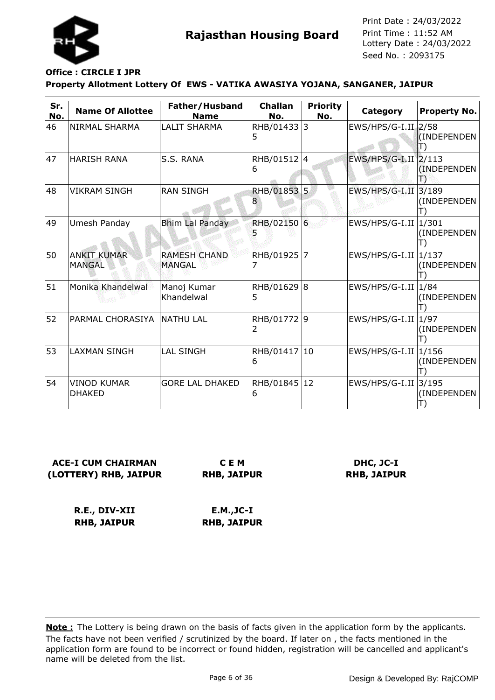

# **Office : CIRCLE I JPR**

### **Property Allotment Lottery Of EWS - VATIKA AWASIYA YOJANA, SANGANER, JAIPUR**

| Sr.<br>No. | <b>Name Of Allottee</b>             | Father/Husband<br><b>Name</b>        | <b>Challan</b><br>No. | <b>Priority</b><br>No. | Category              | Property No.         |
|------------|-------------------------------------|--------------------------------------|-----------------------|------------------------|-----------------------|----------------------|
| 46         | <b>NIRMAL SHARMA</b>                | <b>LALIT SHARMA</b>                  | RHB/01433 3<br>5      |                        | $EWS/HPS/G-I.II$ 2/58 | (INDEPENDEN          |
| 47         | <b>HARISH RANA</b>                  | <b>S.S. RANA</b>                     | RHB/01512 4<br>6      |                        | EWS/HPS/G-I.II 2/113  | (INDEPENDEN          |
| 48         | <b>VIKRAM SINGH</b>                 | <b>RAN SINGH</b>                     | <b>RHB/01853</b>      | l5.                    | EWS/HPS/G-I.II        | 3/189<br>(INDEPENDEN |
| 49         | Umesh Panday                        | <b>Bhim Lal Panday</b>               | RHB/02150 6           |                        | EWS/HPS/G-I.II        | 1/301<br>(INDEPENDEN |
| 50         | <b>ANKIT KUMAR</b><br><b>MANGAL</b> | <b>RAMESH CHAND</b><br><b>MANGAL</b> | RHB/01925 7           |                        | $EWS/HPS/G-I.II$      | 1/137<br>(INDEPENDEN |
| 51         | Monika Khandelwal                   | Manoj Kumar<br>Khandelwal            | RHB/01629 8<br>5      |                        | EWS/HPS/G-I.II        | 1/84<br>(INDEPENDEN  |
| 52         | PARMAL CHORASIYA                    | <b>INATHU LAL</b>                    | RHB/01772 9           |                        | $EWS/HPS/G-I.II$      | 1/97<br>(INDEPENDEN  |
| 53         | <b>LAXMAN SINGH</b>                 | <b>LAL SINGH</b>                     | RHB/01417 10<br>6     |                        | EWS/HPS/G-I.II        | 1/156<br>(INDEPENDEN |
| 54         | <b>VINOD KUMAR</b><br><b>DHAKED</b> | <b>GORE LAL DHAKED</b>               | RHB/01845 12<br>6     |                        | EWS/HPS/G-I.II 3/195  | (INDEPENDEN          |

## **ACE-I CUM CHAIRMAN (LOTTERY) RHB, JAIPUR**

**C E M RHB, JAIPUR**

## **DHC, JC-I RHB, JAIPUR**

**R.E., DIV-XII RHB, JAIPUR**

**E.M.,JC-I RHB, JAIPUR**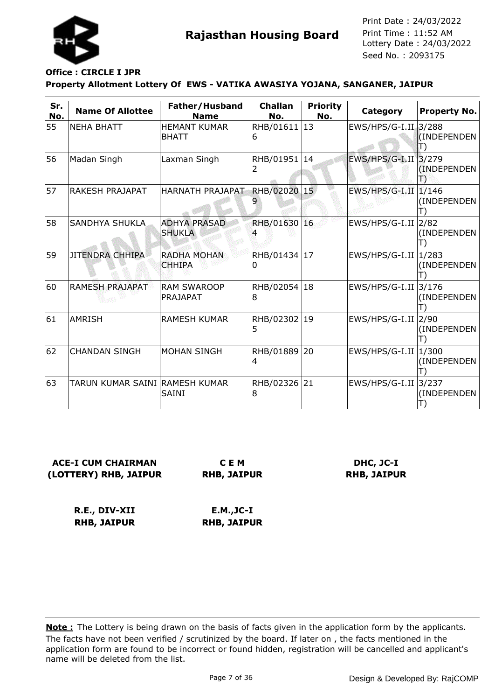

## **Office : CIRCLE I JPR**

### **Property Allotment Lottery Of EWS - VATIKA AWASIYA YOJANA, SANGANER, JAIPUR**

| Sr.<br>No. | <b>Name Of Allottee</b>        | Father/Husband<br><b>Name</b>        | <b>Challan</b><br>No. | <b>Priority</b><br>No. | Category             | <b>Property No.</b>       |
|------------|--------------------------------|--------------------------------------|-----------------------|------------------------|----------------------|---------------------------|
| 55         | <b>NEHA BHATT</b>              | <b>HEMANT KUMAR</b><br><b>BHATT</b>  | RHB/01611 13<br>6     |                        | EWS/HPS/G-I.II 3/288 | (INDEPENDEN               |
| 56         | Madan Singh                    | Laxman Singh                         | RHB/01951 14<br>2     |                        | EWS/HPS/G-I.II 3/279 | (INDEPENDEN)<br>闇         |
| 57         | RAKESH PRAJAPAT                | HARNATH PRAJAPAT                     | <b>RHB/02020</b>      | $15^{\circ}$           | EWS/HPS/G-I.II       | 1/146<br>(INDEPENDEN      |
| 58         | <b>SANDHYA SHUKLA</b>          | <b>ADHYA PRASAD</b><br><b>SHUKLA</b> | RHB/01630 16          |                        | EWS/HPS/G-I.II       | 2/82<br>(INDEPENDEN       |
| 59         | <b>JITENDRA CHHIPA</b>         | <b>RADHA MOHAN</b><br><b>CHHIPA</b>  | RHB/01434<br>0        | 17                     | EWS/HPS/G-I.II       | 1/283<br>(INDEPENDEN      |
| 60         | <b>RAMESH PRAJAPAT</b>         | <b>RAM SWAROOP</b><br>PRAJAPAT       | RHB/02054<br>8        | 18                     | $EWS/HPS/G-I.II$     | 3/176<br>(INDEPENDEN      |
| 61         | <b>AMRISH</b>                  | <b>RAMESH KUMAR</b>                  | RHB/02302<br>5        | 19                     | EWS/HPS/G-I.II 2/90  | (INDEPENDEN               |
| 62         | <b>CHANDAN SINGH</b>           | <b>MOHAN SINGH</b>                   | RHB/01889 20<br>4     |                        | EWS/HPS/G-I.II       | 1/300<br>(INDEPENDEN<br>Е |
| 63         | TARUN KUMAR SAINI RAMESH KUMAR | <b>SAINI</b>                         | RHB/02326 21<br>8     |                        | EWS/HPS/G-I.II 3/237 | (INDEPENDEN               |

## **ACE-I CUM CHAIRMAN (LOTTERY) RHB, JAIPUR**

**C E M RHB, JAIPUR**

### **DHC, JC-I RHB, JAIPUR**

**R.E., DIV-XII RHB, JAIPUR E.M.,JC-I RHB, JAIPUR**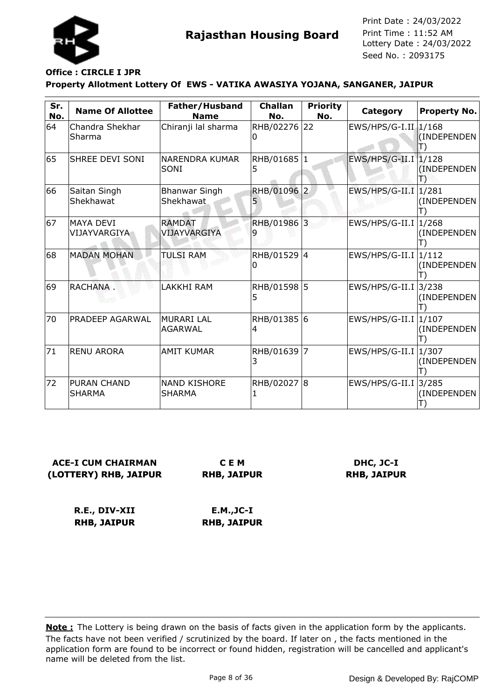

#### **Property Allotment Lottery Of EWS - VATIKA AWASIYA YOJANA, SANGANER, JAIPUR Office : CIRCLE I JPR**

| Sr.<br>No. | <b>Name Of Allottee</b>             | Father/Husband<br><b>Name</b>     | <b>Challan</b><br>No. | <b>Priority</b><br>No. | Category             | <b>Property No.</b>  |
|------------|-------------------------------------|-----------------------------------|-----------------------|------------------------|----------------------|----------------------|
| 64         | Chandra Shekhar<br>Sharma           | Chiranji lal sharma               | RHB/02276<br>10       | 22                     | $EWS/HPS/G-I.II$     | 1/168<br>(INDEPENDEN |
| 65         | <b>SHREE DEVI SONI</b>              | NARENDRA KUMAR<br>SONI            | RHB/01685 1<br>5      |                        | EWS/HPS/G-II.I 1/128 | (INDEPENDEN<br>ТЭ    |
| 66         | Saitan Singh<br>Shekhawat           | <b>Bhanwar Singh</b><br>Shekhawat | <b>RHB/01096</b><br>5 | $\vert$ 2              | $EWS/HPS/G-II.I$     | 1/281<br>(INDEPENDEN |
| 67         | <b>MAYA DEVI</b><br>VIJAYVARGIYA    | <b>RAMDAT</b><br>VIJAYVARGIYA     | RHB/01986 3           |                        | $EWS/HPS/G-II.I$     | 1/268<br>(INDEPENDEN |
| 68         | <b>MADAN MOHAN</b>                  | <b>TULSI RAM</b>                  | RHB/01529 4<br>0      |                        | $EWS/HPS/G-II.I$     | 1/112<br>(INDEPENDEN |
| 69         | RACHANA.                            | <b>LAKKHI RAM</b>                 | RHB/01598 5<br>5      |                        | $EWS/HPS/G-II.I$     | 3/238<br>(INDEPENDEN |
| 70         | <b>PRADEEP AGARWAL</b>              | İMURARI LAL<br><b>AGARWAL</b>     | RHB/01385 6<br>4      |                        | $EWS/HPS/G-II.I$     | 1/107<br>(INDEPENDEN |
| 71         | <b>RENU ARORA</b>                   | <b>AMIT KUMAR</b>                 | RHB/01639<br>3        | $\overline{7}$         | $EWS/HPS/G-II.I$     | 1/307<br>(INDEPENDEN |
| 72         | <b>PURAN CHAND</b><br><b>SHARMA</b> | INAND KISHORE<br><b>SHARMA</b>    | RHB/02027 8           |                        | $EWS/HPS/G-II.I$     | 3/285<br>(INDEPENDEN |

**ACE-I CUM CHAIRMAN (LOTTERY) RHB, JAIPUR**

**C E M RHB, JAIPUR**

**DHC, JC-I RHB, JAIPUR**

**R.E., DIV-XII RHB, JAIPUR E.M.,JC-I RHB, JAIPUR**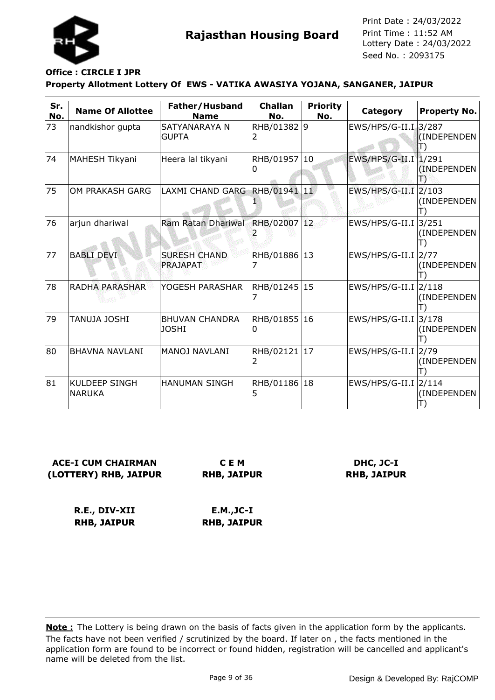

# **Office : CIRCLE I JPR**

### **Property Allotment Lottery Of EWS - VATIKA AWASIYA YOJANA, SANGANER, JAIPUR**

| Sr.<br>No. | <b>Name Of Allottee</b>               | Father/Husband<br><b>Name</b>         | <b>Challan</b><br>No. | <b>Priority</b><br>No. | Category                          | <b>Property No.</b>  |
|------------|---------------------------------------|---------------------------------------|-----------------------|------------------------|-----------------------------------|----------------------|
| 73         | nandkishor gupta                      | SATYANARAYA N<br><b>GUPTA</b>         | RHB/01382 9           |                        | EWS/HPS/G-II.I 3/287              | (INDEPENDEN          |
| 74         | MAHESH Tikyani                        | Heera lal tikyani                     | RHB/01957 10<br>0     |                        | EWS/HPS/G-II.I   1/291            | (INDEPENDEN)<br>18   |
| 75         | OM PRAKASH GARG                       | LAXMI CHAND GARG RHB/01941 11         |                       |                        | EWS/HPS/G-II.I 2/103              | (INDEPENDEN          |
| 76         | arjun dhariwal                        | Ram Ratan Dhariwal                    | RHB/02007 12          |                        | EWS/HPS/G-II.I                    | 3/251<br>(INDEPENDEN |
| 77         | <b>BABLI DEVI</b>                     | <b>SURESH CHAND</b><br>PRAJAPAT       | RHB/01886 13          |                        | $EWS/HPS/G-II.I$ 2/77             | (INDEPENDEN          |
| 78         | <b>RADHA PARASHAR</b>                 | YOGESH PARASHAR                       | RHB/01245 15          |                        | EWS/HPS/G-II.I 2/118              | (INDEPENDEN          |
| 79         | <b>TANUJA JOSHI</b>                   | <b>BHUVAN CHANDRA</b><br><b>JOSHI</b> | RHB/01855 16<br>0     |                        | $EWS/HPS/G-II.I$                  | 3/178<br>(INDEPENDEN |
| 80         | <b>BHAVNA NAVLANI</b>                 | MANOJ NAVLANI                         | RHB/02121 17<br>2     |                        | EWS/HPS/G-II.I                    | 2/79<br>(INDEPENDEN  |
| 81         | <b>KULDEEP SINGH</b><br><b>NARUKA</b> | <b>HANUMAN SINGH</b>                  | RHB/01186 18<br>5     |                        | $EWS/HPS/G-II.I$ <sub>2/114</sub> | (INDEPENDEN          |

**ACE-I CUM CHAIRMAN (LOTTERY) RHB, JAIPUR**

**C E M RHB, JAIPUR**

**DHC, JC-I RHB, JAIPUR**

**R.E., DIV-XII RHB, JAIPUR E.M.,JC-I RHB, JAIPUR**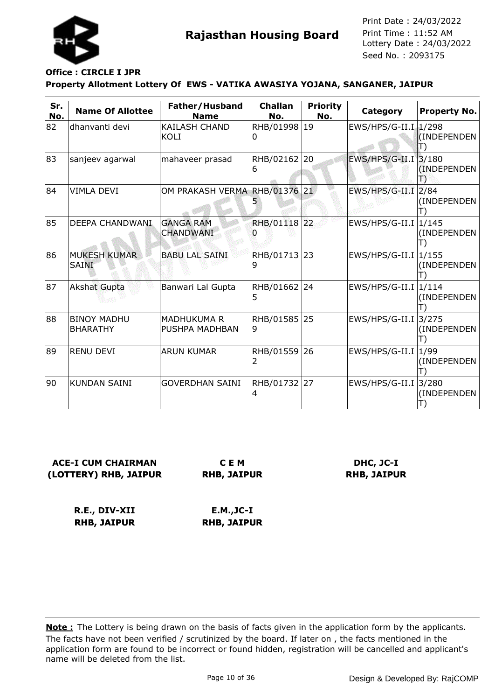

# **Office : CIRCLE I JPR**

### **Property Allotment Lottery Of EWS - VATIKA AWASIYA YOJANA, SANGANER, JAIPUR**

| Sr.<br>No. | <b>Name Of Allottee</b>               | Father/Husband<br><b>Name</b>        | <b>Challan</b><br>No. | <b>Priority</b><br>No. | Category              | <b>Property No.</b>  |
|------------|---------------------------------------|--------------------------------------|-----------------------|------------------------|-----------------------|----------------------|
| 82         | dhanvanti devi                        | KAILASH CHAND<br>KOLI                | RHB/01998 19<br>0     |                        | EWS/HPS/G-II.I 1/298  | (INDEPENDEN          |
| 83         | sanjeev agarwal                       | mahaveer prasad                      | RHB/02162 20<br>6     |                        | EWS/HPS/G-II.I 3/180  | (INDEPENDEN<br>闇     |
| 84         | <b>VIMLA DEVI</b>                     | OM PRAKASH VERMA RHB/01376 21        |                       |                        | $EWS/HPS/G-II.I$ 2/84 | (INDEPENDEN          |
| 85         | <b>DEEPA CHANDWANI</b>                | <b>GANGA RAM</b><br><b>CHANDWANI</b> | RHB/01118 22          |                        | EWS/HPS/G-II.I        | 1/145<br>(INDEPENDEN |
| 86         | <b>MUKESH KUMAR</b><br><b>SAINI</b>   | <b>BABU LAL SAINI</b>                | RHB/01713 23<br>9     |                        | EWS/HPS/G-II.I        | 1/155<br>(INDEPENDEN |
| 87         | <b>Akshat Gupta</b>                   | Banwari Lal Gupta                    | RHB/01662<br>5        | 24                     | EWS/HPS/G-II.I        | 1/114<br>(INDEPENDEN |
| 88         | <b>BINOY MADHU</b><br><b>BHARATHY</b> | MADHUKUMA R<br>PUSHPA MADHBAN        | RHB/01585<br>9        | 25                     | $EWS/HPS/G-II.I$      | 3/275<br>(INDEPENDEN |
| 89         | <b>RENU DEVI</b>                      | <b>ARUN KUMAR</b>                    | RHB/01559 26<br>2     |                        | EWS/HPS/G-II.I        | 1/99<br>(INDEPENDEN  |
| 90         | <b>KUNDAN SAINI</b>                   | <b>GOVERDHAN SAINI</b>               | RHB/01732 27<br>4     |                        | EWS/HPS/G-II.I 3/280  | (INDEPENDEN          |

## **ACE-I CUM CHAIRMAN (LOTTERY) RHB, JAIPUR**

**C E M RHB, JAIPUR**

### **DHC, JC-I RHB, JAIPUR**

**R.E., DIV-XII RHB, JAIPUR E.M.,JC-I RHB, JAIPUR**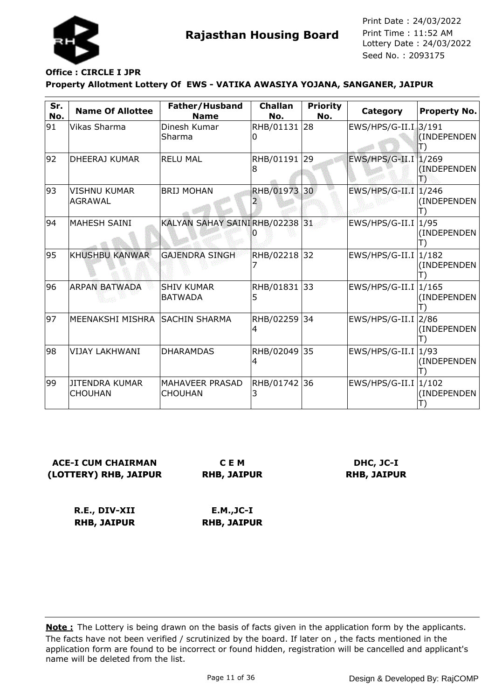

### **Property Allotment Lottery Of EWS - VATIKA AWASIYA YOJANA, SANGANER, JAIPUR Office : CIRCLE I JPR**

| Sr.<br>No. | <b>Name Of Allottee</b>                 | Father/Husband<br><b>Name</b>       | <b>Challan</b><br>No. | <b>Priority</b><br>No. | Category             | <b>Property No.</b>  |
|------------|-----------------------------------------|-------------------------------------|-----------------------|------------------------|----------------------|----------------------|
| 91         | Vikas Sharma                            | Dinesh Kumar<br>Sharma              | RHB/01131 28<br>0     |                        | EWS/HPS/G-II.I 3/191 | (INDEPENDEN          |
| 92         | <b>DHEERAJ KUMAR</b>                    | <b>RELU MAL</b>                     | RHB/01191 29<br>18    |                        | EWS/HPS/G-II.I 1/269 | (INDEPENDEN          |
| 93         | <b>VISHNU KUMAR</b><br>AGRAWAL          | <b>BRIJ MOHAN</b>                   | RHB/01973 30          |                        | $EWS/HPS/G-II.I$     | 1/246<br>(INDEPENDEN |
| 94         | <b>MAHESH SAINI</b>                     | KALYAN SAHAY SAINIRHB/02238 31      |                       |                        | $EWS/HPS/G-II.I$     | 1/95<br>(INDEPENDEN  |
| 95         | <b>KHUSHBU KANWAR</b>                   | <b>GAJENDRA SINGH</b>               | RHB/02218             | 32                     | EWS/HPS/G-II.I       | 1/182<br>(INDEPENDEN |
| 96         | <b>ARPAN BATWADA</b>                    | <b>SHIV KUMAR</b><br><b>BATWADA</b> | RHB/01831 33<br>5     |                        | $EWS/HPS/G-II.I$     | 1/165<br>(INDEPENDEN |
| 97         | MEENAKSHI MISHRA SSACHIN SHARMA         |                                     | RHB/02259 34<br>4     |                        | $EWS/HPS/G-II.I$     | 2/86<br>(INDEPENDEN  |
| 98         | VIJAY LAKHWANI                          | <b>DHARAMDAS</b>                    | RHB/02049<br>4        | 35                     | $EWS/HPS/G-II.I$     | 1/93<br>(INDEPENDEN  |
| 99         | <b>JITENDRA KUMAR</b><br><b>CHOUHAN</b> | MAHAVEER PRASAD<br><b>CHOUHAN</b>   | RHB/01742 36          |                        | $EWS/HPS/G-II.I$     | 1/102<br>(INDEPENDEN |

**ACE-I CUM CHAIRMAN (LOTTERY) RHB, JAIPUR**

**C E M RHB, JAIPUR**

**DHC, JC-I RHB, JAIPUR**

**R.E., DIV-XII RHB, JAIPUR E.M.,JC-I RHB, JAIPUR**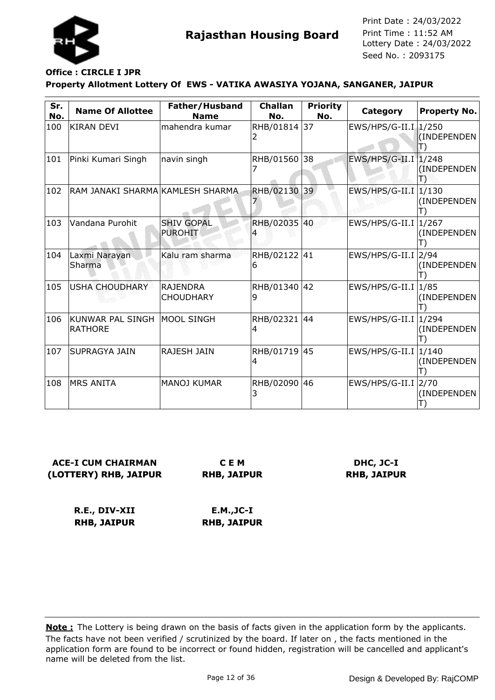

#### **Property Allotment Lottery Of EWS - VATIKA AWASIYA YOJANA, SANGANER, JAIPUR Office : CIRCLE I JPR**

| Sr.<br>No. | <b>Name Of Allottee</b>                         | Father/Husband<br><b>Name</b>       | <b>Challan</b><br>No. | <b>Priority</b><br>No. | Category                          | <b>Property No.</b> |
|------------|-------------------------------------------------|-------------------------------------|-----------------------|------------------------|-----------------------------------|---------------------|
| 100        | KIRAN DEVI                                      | mahendra kumar                      | RHB/01814             | 37                     | EWS/HPS/G-II.I 1/250              | (INDEPENDEN         |
| 101        | Pinki Kumari Singh                              | navin singh                         | RHB/01560             | 38                     | EWS/HPS/G-II.I 1/248              | (INDEPENDEN         |
| 102        | RAM JANAKI SHARMA KAMLESH SHARMA                |                                     | RHB/02130             | 39                     | EWS/HPS/G-II.I   1/130            | (INDEPENDEN         |
| 103        | Vandana Purohit                                 | <b>SHIV GOPAL</b><br><b>PUROHIT</b> | RHB/02035             | 40                     | EWS/HPS/G-II.I $ 1/267$           | (INDEPENDEN         |
| 104        | Laxmi Narayan<br>Sharma                         | Kalu ram sharma                     | RHB/02122 41<br>6     |                        | EWS/HPS/G-II.I 2/94               | (INDEPENDEN         |
| 105        | <b>USHA CHOUDHARY</b>                           | <b>RAJENDRA</b><br><b>CHOUDHARY</b> | RHB/01340<br>9        | 42                     | EWS/HPS/G-II.I $ 1/85$            | (INDEPENDEN         |
| 106        | KUNWAR PAL SINGH   MOOL SINGH<br><b>RATHORE</b> |                                     | RHB/02321<br>4        | 44                     | $EWS/HPS/G-II.I$ <sup>1/294</sup> | (INDEPENDEN         |
| 107        | SUPRAGYA JAIN                                   | <b>RAJESH JAIN</b>                  | RHB/01719 45<br>4     |                        | EWS/HPS/G-II.I   1/140            | (INDEPENDEN         |
| 108        | <b>MRS ANITA</b>                                | <b>MANOJ KUMAR</b>                  | RHB/02090             | 46                     | EWS/HPS/G-II.I 2/70               | (INDEPENDEN         |

## **ACE-I CUM CHAIRMAN (LOTTERY) RHB, JAIPUR**

**C E M RHB, JAIPUR**

## **DHC, JC-I RHB, JAIPUR**

**R.E., DIV-XII RHB, JAIPUR E.M.,JC-I RHB, JAIPUR**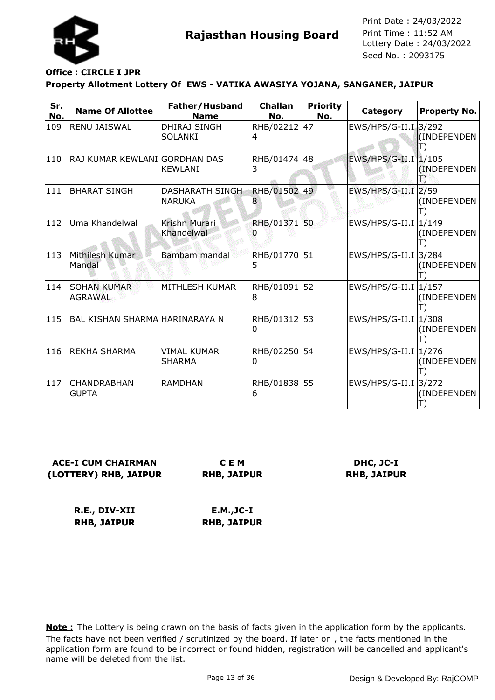

#### **Property Allotment Lottery Of EWS - VATIKA AWASIYA YOJANA, SANGANER, JAIPUR Office : CIRCLE I JPR**

| Sr.<br>No. | <b>Name Of Allottee</b>              | Father/Husband<br><b>Name</b>           | <b>Challan</b><br>No. | <b>Priority</b><br>No. | Category               | Property No.         |
|------------|--------------------------------------|-----------------------------------------|-----------------------|------------------------|------------------------|----------------------|
| 109        | <b>RENU JAISWAL</b>                  | <b>DHIRAJ SINGH</b><br><b>SOLANKI</b>   | RHB/02212<br>4        | 47                     | EWS/HPS/G-II.I. 3/292  | (INDEPENDEN          |
| 110        | RAJ KUMAR KEWLANI GORDHAN DAS        | <b>KEWLANI</b>                          | RHB/01474 48<br>3     |                        | EWS/HPS/G-II.I 1/105   | (INDEPENDEN<br>18    |
| 111        | <b>BHARAT SINGH</b>                  | <b>DASHARATH SINGH</b><br><b>NARUKA</b> | RHB/01502             | 49                     | $EWS/HPS/G-II.I$ 2/59  | (INDEPENDEN          |
| 112        | Uma Khandelwal                       | Krishn Murari<br>Khandelwal             | RHB/01371             | 50                     | EWS/HPS/G-II.I   1/149 | (INDEPENDEN          |
| 113        | Mithilesh Kumar<br>Mandal            | Bambam mandal                           | RHB/01770<br>5        | 51                     | EWS/HPS/G-II.I         | 3/284<br>(INDEPENDEN |
| 114        | <b>SOHAN KUMAR</b><br><b>AGRAWAL</b> | MITHLESH KUMAR                          | RHB/01091<br>8        | 52                     | $EWS/HPS/G-II.I$ 1/157 | (INDEPENDEN          |
| 115        | BAL KISHAN SHARMA HARINARAYA N       |                                         | RHB/01312<br>Ω        | 53                     | $EWS/HPS/G-II.I$ 1/308 | (INDEPENDEN          |
| 116        | IREKHA SHARMA                        | <b>VIMAL KUMAR</b><br><b>SHARMA</b>     | RHB/02250<br>0        | 54                     | EWS/HPS/G-II.I   1/276 | (INDEPENDEN          |
| 117        | CHANDRABHAN<br><b>GUPTA</b>          | <b>RAMDHAN</b>                          | RHB/01838 55<br>6     |                        | EWS/HPS/G-II.I 3/272   | (INDEPENDEN          |

**ACE-I CUM CHAIRMAN (LOTTERY) RHB, JAIPUR**

**C E M RHB, JAIPUR**

**DHC, JC-I RHB, JAIPUR**

**R.E., DIV-XII RHB, JAIPUR E.M.,JC-I RHB, JAIPUR**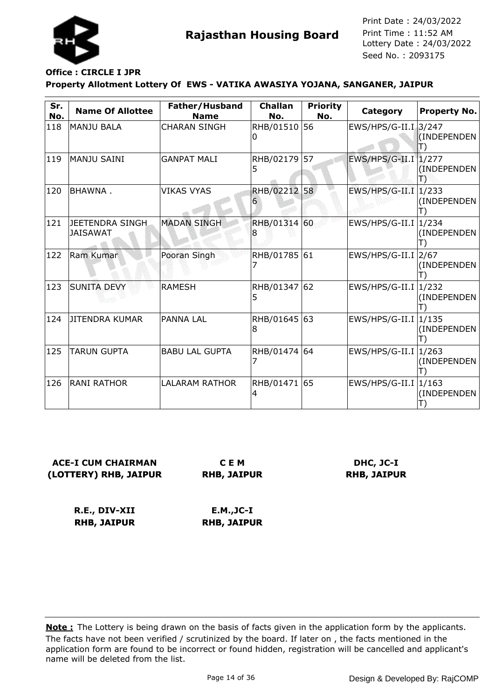

## **Office : CIRCLE I JPR**

#### **Property Allotment Lottery Of EWS - VATIKA AWASIYA YOJANA, SANGANER, JAIPUR**

| Sr.<br>No. | <b>Name Of Allottee</b>             | Father/Husband<br><b>Name</b> | <b>Challan</b><br>No. | <b>Priority</b><br>No. | <b>Category</b>                   | Property No.         |
|------------|-------------------------------------|-------------------------------|-----------------------|------------------------|-----------------------------------|----------------------|
| 118        | <b>MANJU BALA</b>                   | <b>CHARAN SINGH</b>           | RHB/01510<br>Ω        | 56                     | EWS/HPS/G-II.I. 3/247             | (INDEPENDEN<br>T)    |
| 119        | <b>MANJU SAINI</b>                  | <b>GANPAT MALI</b>            | RHB/02179<br>5        | 57                     | EWS/HPS/G-II.I 1/277              | (INDEPENDEN<br>19    |
| 120        | BHAWNA.                             | <b>VIKAS VYAS</b>             | <b>RHB/02212</b><br>6 | 58                     | $EWS/HPS/G-II.I$                  | 1/233<br>(INDEPENDEN |
| 121        | JEETENDRA SINGH.<br><b>JAISAWAT</b> | <b>MADAN SINGH</b>            | RHB/01314 60<br>8     |                        | $EWS/HPS/G-II.I$                  | 1/234<br>(INDEPENDEN |
| 122        | Ram Kumar                           | Pooran Singh                  | RHB/01785             | 61                     | $EWS/HPS/G-II.I$ 2/67             | (INDEPENDEN          |
| 123        | <b>SUNITA DEVY</b>                  | <b>RAMESH</b>                 | RHB/01347<br>5        | 62                     | $EWS/HPS/G-II.I$                  | 1/232<br>(INDEPENDEN |
| 124        | <b>JITENDRA KUMAR</b>               | <b>PANNA LAL</b>              | RHB/01645<br>8        | 63                     | $EWS/HPS/G-II.I$                  | 1/135<br>(INDEPENDEN |
| 125        | <b>TARUN GUPTA</b>                  | <b>BABU LAL GUPTA</b>         | RHB/01474 64          |                        | EWS/HPS/G-II.I                    | 1/263<br>(INDEPENDEN |
| 126        | IRANI RATHOR                        | <b>LALARAM RATHOR</b>         | RHB/01471 65<br>4     |                        | $EWS/HPS/G-II.I$ <sup>1/163</sup> | (INDEPENDEN          |

**ACE-I CUM CHAIRMAN (LOTTERY) RHB, JAIPUR**

**C E M RHB, JAIPUR**

**DHC, JC-I RHB, JAIPUR**

**R.E., DIV-XII RHB, JAIPUR E.M.,JC-I RHB, JAIPUR**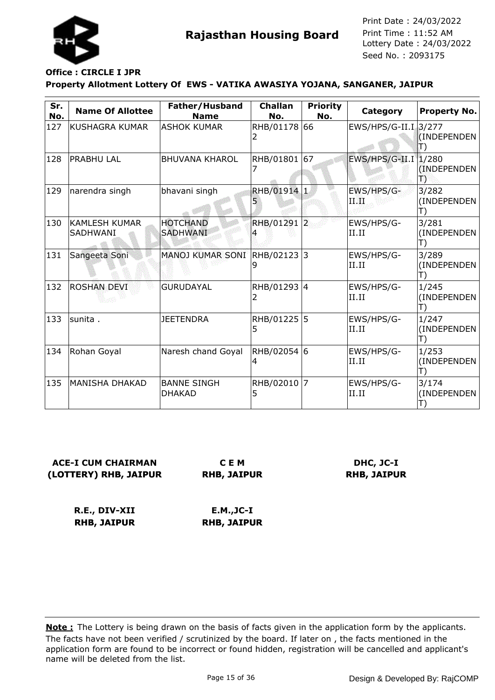

### **Property Allotment Lottery Of EWS - VATIKA AWASIYA YOJANA, SANGANER, JAIPUR Office : CIRCLE I JPR**

| Sr.<br>No. | <b>Name Of Allottee</b>                 | Father/Husband<br><b>Name</b>       | <b>Challan</b><br>No. | <b>Priority</b><br>No. | Category             | <b>Property No.</b>        |
|------------|-----------------------------------------|-------------------------------------|-----------------------|------------------------|----------------------|----------------------------|
| 127        | KUSHAGRA KUMAR                          | <b>ASHOK KUMAR</b>                  | RHB/01178<br>2.       | 66                     | EWS/HPS/G-II.I 3/277 | (INDEPENDEN                |
| 128        | <b>PRABHU LAL</b>                       | <b>BHUVANA KHAROL</b>               | RHB/01801             | 67                     | EWS/HPS/G-II.I 1/280 | (INDEPENDEN)<br>Ð          |
| 129        | narendra singh                          | bhavani singh                       | RHB/01914 1<br>5      |                        | EWS/HPS/G-<br>ПŒ     | 3/282<br>(INDEPENDEN<br>T) |
| 130        | <b>KAMLESH KUMAR</b><br><b>SADHWANI</b> | <b>HOTCHAND</b><br><b>SADHWANI</b>  | RHB/01291 2           |                        | EWS/HPS/G-<br>II.II  | 3/281<br>(INDEPENDEN<br>T) |
| 131        | Sangeeta Soni                           | <b>MANOJ KUMAR SONI</b>             | RHB/02123 3<br>9      |                        | EWS/HPS/G-<br>II.II  | 3/289<br>(INDEPENDEN<br>T) |
| 132        | <b>ROSHAN DEVI</b>                      | <b>GURUDAYAL</b>                    | RHB/01293 4<br>2      |                        | EWS/HPS/G-<br>II.II  | 1/245<br>(INDEPENDEN<br>T) |
| 133        | lsunita .                               | <b>JEETENDRA</b>                    | RHB/01225<br>5        | 5                      | EWS/HPS/G-<br>II.II  | 1/247<br>(INDEPENDEN<br>T) |
| 134        | Rohan Goyal                             | Naresh chand Goyal                  | RHB/02054 6<br>4      |                        | EWS/HPS/G-<br>II.II  | 1/253<br>(INDEPENDEN<br>T) |
| 135        | <b>MANISHA DHAKAD</b>                   | <b>BANNE SINGH</b><br><b>DHAKAD</b> | RHB/02010<br>5        | $\overline{7}$         | EWS/HPS/G-<br>II.II  | 3/174<br>(INDEPENDEN       |

**ACE-I CUM CHAIRMAN (LOTTERY) RHB, JAIPUR**

**C E M RHB, JAIPUR**

**DHC, JC-I RHB, JAIPUR**

**R.E., DIV-XII RHB, JAIPUR E.M.,JC-I RHB, JAIPUR**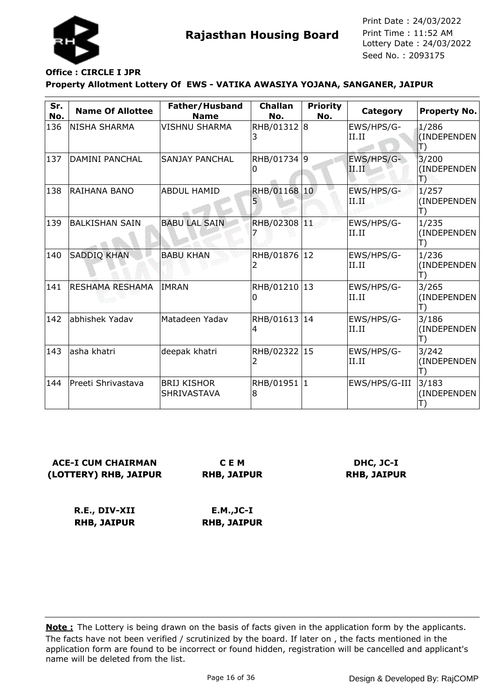

## **Office : CIRCLE I JPR**

### **Property Allotment Lottery Of EWS - VATIKA AWASIYA YOJANA, SANGANER, JAIPUR**

| Sr.<br>No. | <b>Name Of Allottee</b> | Father/Husband<br><b>Name</b>            | <b>Challan</b><br>No. | <b>Priority</b><br>No. | Category            | Property No.                               |
|------------|-------------------------|------------------------------------------|-----------------------|------------------------|---------------------|--------------------------------------------|
| 136        | NISHA SHARMA            | <b>VISHNU SHARMA</b>                     | RHB/01312 8           |                        | EWS/HPS/G-<br>II.II | 1/286<br>(INDEPENDEN<br>$\ket{\mathsf{T}}$ |
| 137        | <b>DAMINI PANCHAL</b>   | <b>SANJAY PANCHAL</b>                    | RHB/01734 9<br>0      |                        | EWS/HPS/G-<br>II.II | 3/200<br>(INDEPENDEN<br>Ð                  |
| 138        | RAIHANA BANO            | <b>ABDUL HAMID</b>                       | RHB/01168 10          |                        | EWS/HPS/G-<br>П.Ш.  | 1/257<br>(INDEPENDEN<br>T)                 |
| 139        | <b>BALKISHAN SAIN</b>   | <b>BABU LAL SAIN</b>                     | RHB/02308 11          |                        | EWS/HPS/G-<br>II.II | 1/235<br>(INDEPENDEN<br>T)                 |
| 140        | <b>SADDIQ KHAN</b>      | <b>BABU KHAN</b>                         | RHB/01876 12<br>2     |                        | EWS/HPS/G-<br>II.II | 1/236<br>(INDEPENDEN<br>T)                 |
| 141        | RESHAMA RESHAMA         | IMRAN                                    | RHB/01210 13<br>0     |                        | EWS/HPS/G-<br>II.II | 3/265<br>(INDEPENDEN<br>T)                 |
| 142        | abhishek Yadav          | Matadeen Yadav                           | RHB/01613 14<br>4     |                        | EWS/HPS/G-<br>II.II | 3/186<br>(INDEPENDEN<br>T)                 |
| 143        | asha khatri             | deepak khatri                            | RHB/02322 15          |                        | EWS/HPS/G-<br>II.II | 3/242<br>(INDEPENDEN<br>T)                 |
| 144        | Preeti Shrivastava      | <b>BRIJ KISHOR</b><br><b>SHRIVASTAVA</b> | RHB/01951 1<br>8      |                        | EWS/HPS/G-III       | 3/183<br>(INDEPENDEN                       |

**ACE-I CUM CHAIRMAN (LOTTERY) RHB, JAIPUR C E M**

**RHB, JAIPUR**

**DHC, JC-I RHB, JAIPUR**

**R.E., DIV-XII RHB, JAIPUR E.M.,JC-I RHB, JAIPUR**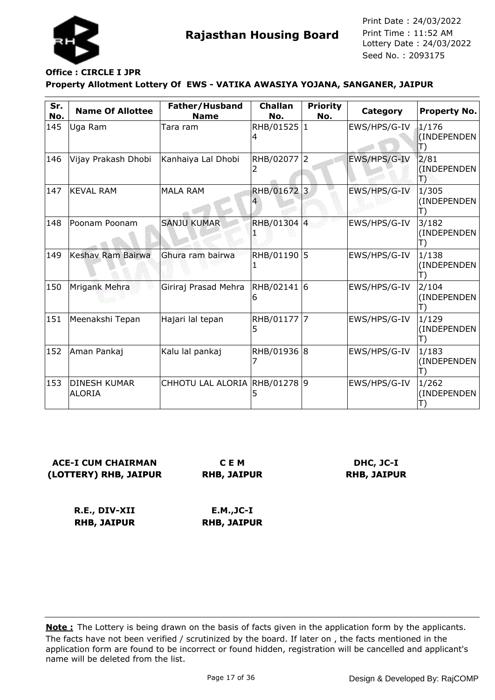

#### **Property Allotment Lottery Of EWS - VATIKA AWASIYA YOJANA, SANGANER, JAIPUR Office : CIRCLE I JPR**

| Sr.<br>No. | <b>Name Of Allottee</b>              | Father/Husband<br><b>Name</b> | <b>Challan</b><br>No. | <b>Priority</b><br>No. | Category     | Property No.               |
|------------|--------------------------------------|-------------------------------|-----------------------|------------------------|--------------|----------------------------|
| 145        | Uga Ram                              | Tara ram                      | RHB/01525 1<br>4      |                        | EWS/HPS/G-IV | 1/176<br>(INDEPENDEN<br>T) |
| 146        | Vijay Prakash Dhobi                  | Kanhaiya Lal Dhobi            | RHB/02077 2           |                        | EWS/HPS/G-IV | 2/81<br>(INDEPENDEN<br>18  |
| 147        | <b>KEVAL RAM</b>                     | <b>MALA RAM</b>               | RHB/01672 3           |                        | EWS/HPS/G-IV | 1/305<br>(INDEPENDEN       |
| 148        | Poonam Poonam                        | <b>SANJU KUMAR</b>            | RHB/01304 4           |                        | EWS/HPS/G-IV | 3/182<br>(INDEPENDEN       |
| 149        | Keshav Ram Bairwa                    | Ghura ram bairwa              | RHB/01190 5           |                        | EWS/HPS/G-IV | 1/138<br>(INDEPENDEN       |
| 150        | Mrigank Mehra                        | Giriraj Prasad Mehra          | RHB/02141 6<br>6      |                        | EWS/HPS/G-IV | 2/104<br>(INDEPENDEN       |
| 151        | Meenakshi Tepan                      | Hajari lal tepan              | RHB/01177<br>5        |                        | EWS/HPS/G-IV | 1/129<br>(INDEPENDEN       |
| 152        | Aman Pankaj                          | Kalu lal pankaj               | RHB/01936 8           |                        | EWS/HPS/G-IV | 1/183<br>(INDEPENDEN       |
| 153        | <b>DINESH KUMAR</b><br><b>ALORIA</b> | CHHOTU LAL ALORIA RHB/01278 9 | 5                     |                        | EWS/HPS/G-IV | 1/262<br>(INDEPENDEN       |

**ACE-I CUM CHAIRMAN (LOTTERY) RHB, JAIPUR**

**C E M RHB, JAIPUR**

**DHC, JC-I RHB, JAIPUR**

**R.E., DIV-XII RHB, JAIPUR E.M.,JC-I RHB, JAIPUR**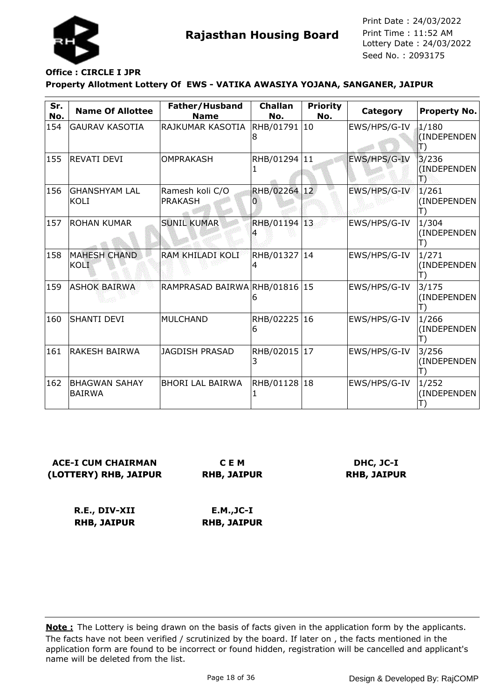

## **Office : CIRCLE I JPR**

### **Property Allotment Lottery Of EWS - VATIKA AWASIYA YOJANA, SANGANER, JAIPUR**

| Sr.<br>No. | <b>Name Of Allottee</b>               | Father/Husband<br><b>Name</b>     | <b>Challan</b><br>No. | <b>Priority</b><br>No. | Category     | <b>Property No.</b>            |
|------------|---------------------------------------|-----------------------------------|-----------------------|------------------------|--------------|--------------------------------|
| 154        | <b>GAURAV KASOTIA</b>                 | RAJKUMAR KASOTIA                  | RHB/01791 10<br>8     |                        | EWS/HPS/G-IV | 1/180<br>(INDEPENDEN<br>T)     |
| 155        | <b>REVATI DEVI</b>                    | OMPRAKASH                         | RHB/01294 11          |                        | EWS/HPS/G-IV | 3/236<br>(INDEPENDEN)<br>慢     |
| 156        | <b>GHANSHYAM LAL</b><br>KOLI          | Ramesh koli C/O<br><b>PRAKASH</b> | RHB/02264 12<br>Ü     |                        | EWS/HPS/G-IV | 1/261<br>(INDEPENDEN<br>Ш      |
| 157        | <b>ROHAN KUMAR</b>                    | <b>SUNIL KUMAR</b>                | RHB/01194 13          |                        | EWS/HPS/G-IV | 1/304<br>(INDEPENDEN           |
| 158        | <b>MAHESH CHAND</b><br>KOLI           | RAM KHILADI KOLI                  | RHB/01327 14<br>4     |                        | EWS/HPS/G-IV | 1/271<br>(INDEPENDEN           |
| 159        | <b>ASHOK BAIRWA</b>                   | RAMPRASAD BAIRWA RHB/01816 15     | 6                     |                        | EWS/HPS/G-IV | 3/175<br>(INDEPENDEN<br>Ш      |
| 160        | <b>SHANTI DEVI</b>                    | <b>MULCHAND</b>                   | RHB/02225 16<br>6     |                        | EWS/HPS/G-IV | 1/266<br>(INDEPENDEN           |
| 161        | <b>RAKESH BAIRWA</b>                  | <b>JAGDISH PRASAD</b>             | RHB/02015 17<br>3     |                        | EWS/HPS/G-IV | 3/256<br>(INDEPENDEN<br>$\Box$ |
| 162        | <b>BHAGWAN SAHAY</b><br><b>BAIRWA</b> | <b>BHORI LAL BAIRWA</b>           | RHB/01128 18          |                        | EWS/HPS/G-IV | 1/252<br>(INDEPENDEN           |

**ACE-I CUM CHAIRMAN (LOTTERY) RHB, JAIPUR**

**C E M RHB, JAIPUR**

**DHC, JC-I RHB, JAIPUR**

**R.E., DIV-XII RHB, JAIPUR E.M.,JC-I RHB, JAIPUR**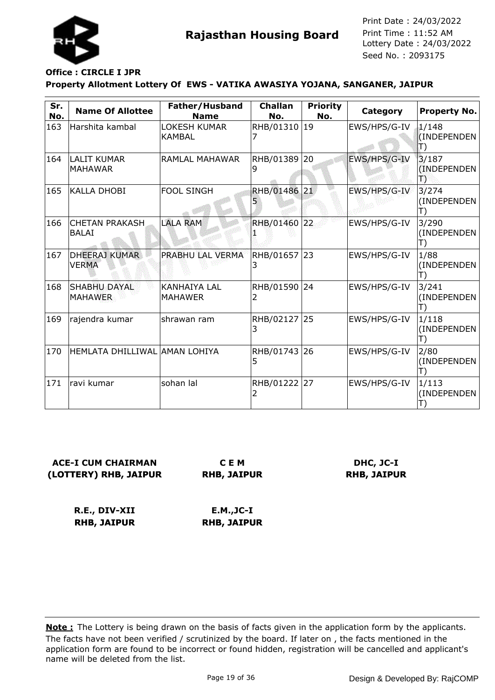

## **Office : CIRCLE I JPR**

### **Property Allotment Lottery Of EWS - VATIKA AWASIYA YOJANA, SANGANER, JAIPUR**

| Sr.<br>No. | <b>Name Of Allottee</b>               | Father/Husband<br><b>Name</b>         | <b>Challan</b><br>No. | <b>Priority</b><br>No. | Category     | <b>Property No.</b>                  |
|------------|---------------------------------------|---------------------------------------|-----------------------|------------------------|--------------|--------------------------------------|
| 163        | Harshita kambal                       | <b>LOKESH KUMAR</b><br>KAMBAL         | RHB/01310 19          |                        | EWS/HPS/G-IV | 1/148<br>(INDEPENDEN<br>$\ket{\top}$ |
| 164        | <b>LALIT KUMAR</b><br><b>MAHAWAR</b>  | RAMLAL MAHAWAR                        | RHB/01389<br>9        | 20                     | EWS/HPS/G-IV | 3/187<br>(INDEPENDEN)<br>B           |
| 165        | <b>KALLA DHOBI</b>                    | <b>FOOL SINGH</b>                     | RHB/01486 21<br>5     |                        | EWS/HPS/G-IV | 3/274<br>(INDEPENDEN<br>T)           |
| 166        | <b>CHETAN PRAKASH</b><br><b>BALAI</b> | <b>LALA RAM</b>                       | RHB/01460 22          |                        | EWS/HPS/G-IV | 3/290<br>(INDEPENDEN<br>T)           |
| 167        | <b>DHEERAJ KUMAR</b><br><b>VERMA</b>  | PRABHU LAL VERMA                      | RHB/01657<br>3        | 23                     | EWS/HPS/G-IV | 1/88<br>(INDEPENDEN<br>T)            |
| 168        | <b>SHABHU DAYAL</b><br><b>MAHAWER</b> | <b>KANHAIYA LAL</b><br><b>MAHAWER</b> | RHB/01590<br>2        | 24                     | EWS/HPS/G-IV | 3/241<br>(INDEPENDEN<br>T)           |
| 169        | rajendra kumar                        | shrawan ram                           | RHB/02127 25<br>3     |                        | EWS/HPS/G-IV | 1/118<br>(INDEPENDEN<br>Н            |
| 170        | HEMLATA DHILLIWAL AMAN LOHIYA         |                                       | RHB/01743 26<br>5     |                        | EWS/HPS/G-IV | 2/80<br>(INDEPENDEN<br>T)            |
| 171        | ravi kumar                            | sohan lal                             | RHB/01222 27          |                        | EWS/HPS/G-IV | 1/113<br>(INDEPENDEN                 |

| <b>ACE-I CUM CHAIRMAN</b> |      |
|---------------------------|------|
| (LOTTERY) RHB, JAIPUR     | RHB, |

**C E M RHB, JAIPUR**

**DHC, JC-I RHB, JAIPUR**

**R.E., DIV-XII RHB, JAIPUR E.M.,JC-I RHB, JAIPUR**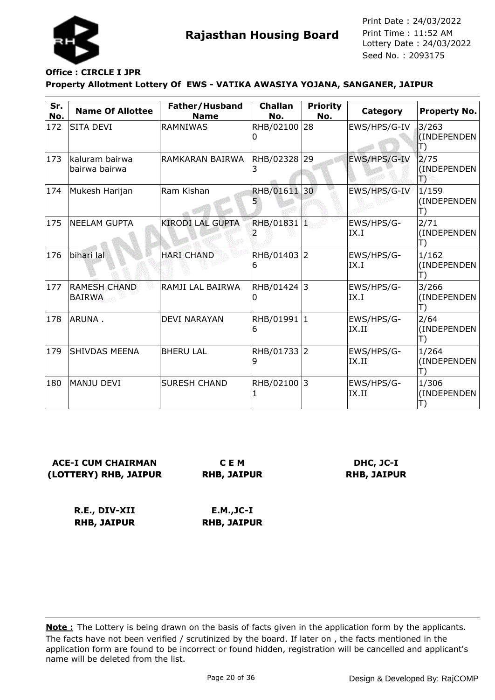

## **Office : CIRCLE I JPR**

### **Property Allotment Lottery Of EWS - VATIKA AWASIYA YOJANA, SANGANER, JAIPUR**

| Sr.<br>No.    | <b>Name Of Allottee</b>              | Father/Husband<br><b>Name</b> | <b>Challan</b><br>No. | <b>Priority</b><br>No. | Category            | <b>Property No.</b>                  |
|---------------|--------------------------------------|-------------------------------|-----------------------|------------------------|---------------------|--------------------------------------|
| 172           | <b>SITA DEVI</b>                     | <b>RAMNIWAS</b>               | RHB/02100 28<br>0     |                        | EWS/HPS/G-IV        | 3/263<br>(INDEPENDEN<br>$\ket{\top}$ |
| 173           | kaluram bairwa<br>bairwa bairwa      | RAMKARAN BAIRWA               | RHB/02328<br>3        | 29                     | EWS/HPS/G-IV        | 2/75<br>(INDEPENDEN<br>B             |
| 174           | Mukesh Harijan                       | Ram Kishan                    | RHB/01611<br>5        | 30                     | EWS/HPS/G-IV        | 1/159<br>(INDEPENDEN<br>T)           |
| 175           | <b>NEELAM GUPTA</b>                  | <b>KIRODI LAL GUPTA</b>       | RHB/01831 1           |                        | EWS/HPS/G-<br>IX.I  | 2/71<br>(INDEPENDEN<br>T)            |
| 176           | bihari lal                           | <b>HARI CHAND</b>             | RHB/01403 2<br>6      |                        | EWS/HPS/G-<br>IX.I  | 1/162<br>(INDEPENDEN<br>T)           |
| $ 177\rangle$ | <b>RAMESH CHAND</b><br><b>BAIRWA</b> | RAMJI LAL BAIRWA              | RHB/01424 3<br>0      |                        | EWS/HPS/G-<br>IX.I  | 3/266<br>(INDEPENDEN<br>T)           |
| 178           | ARUNA.                               | <b>DEVI NARAYAN</b>           | RHB/01991 1<br>6      |                        | EWS/HPS/G-<br>IX.II | 2/64<br>(INDEPENDEN<br>T)            |
| 179           | SHIVDAS MEENA                        | <b>BHERU LAL</b>              | RHB/01733 2<br>9      |                        | EWS/HPS/G-<br>IX.II | 1/264<br>(INDEPENDEN<br>T)           |
| 180           | <b>MANJU DEVI</b>                    | <b>SURESH CHAND</b>           | RHB/02100             | 13                     | EWS/HPS/G-<br>IX.II | 1/306<br>(INDEPENDEN<br>T)           |

**ACE-I CUM CHAIRMAN (LOTTERY) RHB, JAIPUR**

**C E M RHB, JAIPUR**

**DHC, JC-I RHB, JAIPUR**

**R.E., DIV-XII RHB, JAIPUR E.M.,JC-I RHB, JAIPUR**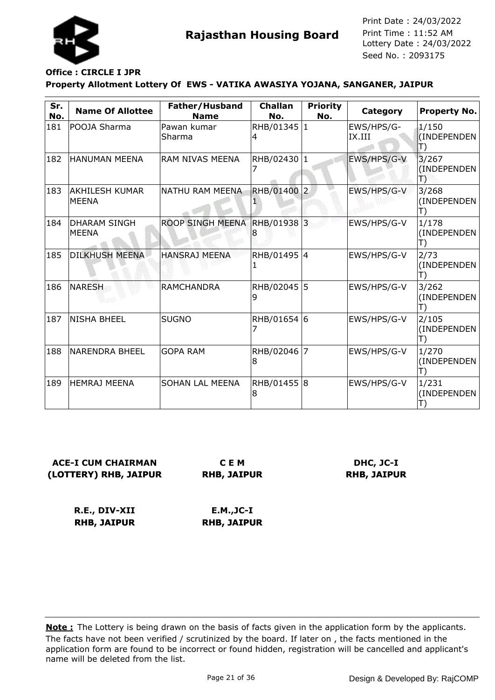

# **Office : CIRCLE I JPR**

### **Property Allotment Lottery Of EWS - VATIKA AWASIYA YOJANA, SANGANER, JAIPUR**

| Sr.<br>No. | <b>Name Of Allottee</b>               | Father/Husband<br><b>Name</b> | <b>Challan</b><br>No. | <b>Priority</b><br>No. | Category             | <b>Property No.</b>                      |
|------------|---------------------------------------|-------------------------------|-----------------------|------------------------|----------------------|------------------------------------------|
| 181        | POOJA Sharma                          | Pawan kumar<br>Sharma         | RHB/01345 1<br>4      |                        | EWS/HPS/G-<br>IX.III | 1/150<br>(INDEPENDEN<br>$\ket{\!\!\top}$ |
| 182        | <b>HANUMAN MEENA</b>                  | RAM NIVAS MEENA               | RHB/02430 1           |                        | EWS/HPS/G-V          | 3/267<br>(INDEPENDEN<br>T)               |
| 183        | <b>AKHILESH KUMAR</b><br><b>MEENA</b> | NATHU RAM MEENA               | <b>RHB/01400</b>      | $\vert$ 2              | EWS/HPS/G-V          | 3/268<br>(INDEPENDEN<br>T)               |
| 184        | <b>DHARAM SINGH</b><br><b>MEENA</b>   | <b>ROOP SINGH MEENA</b>       | RHB/01938 3           |                        | EWS/HPS/G-V          | 1/178<br>(INDEPENDEN<br>T)               |
| 185        | <b>DILKHUSH MEENA</b>                 | <b>HANSRAJ MEENA</b>          | RHB/01495 4<br>1      |                        | EWS/HPS/G-V          | 2/73<br>(INDEPENDEN<br>T)                |
| 186        | <b>NARESH</b>                         | <b>RAMCHANDRA</b>             | RHB/02045<br>9        | 5                      | EWS/HPS/G-V          | 3/262<br>(INDEPENDEN<br>T)               |
| 187        | <b>NISHA BHEEL</b>                    | <b>SUGNO</b>                  | RHB/01654 6<br>7      |                        | EWS/HPS/G-V          | 2/105<br>(INDEPENDEN<br>Ш                |
| 188        | <b>NARENDRA BHEEL</b>                 | <b>GOPA RAM</b>               | RHB/02046<br>8        | 17                     | EWS/HPS/G-V          | 1/270<br>(INDEPENDEN<br>T)               |
| 189        | <b>HEMRAJ MEENA</b>                   | SOHAN LAL MEENA               | RHB/01455 8<br>8      |                        | EWS/HPS/G-V          | 1/231<br>(INDEPENDEN                     |

**ACE-I CUM CHAIRMAN (LOTTERY) RHB, JAIPUR**

**C E M RHB, JAIPUR**

**DHC, JC-I RHB, JAIPUR**

**R.E., DIV-XII RHB, JAIPUR E.M.,JC-I RHB, JAIPUR**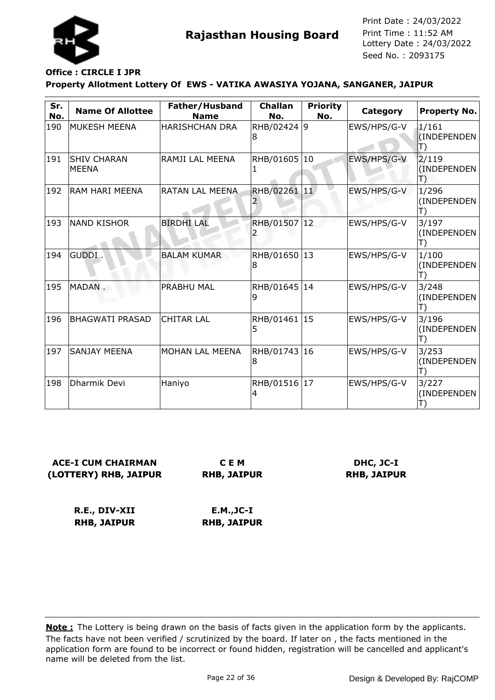

## **Office : CIRCLE I JPR**

### **Property Allotment Lottery Of EWS - VATIKA AWASIYA YOJANA, SANGANER, JAIPUR**

| Sr.<br>No. | <b>Name Of Allottee</b>            | Father/Husband<br><b>Name</b> | <b>Challan</b><br>No. | <b>Priority</b><br>No. | Category    | <b>Property No.</b>                  |
|------------|------------------------------------|-------------------------------|-----------------------|------------------------|-------------|--------------------------------------|
| 190        | MUKESH MEENA                       | <b>HARISHCHAN DRA</b>         | RHB/02424 9<br>8      |                        | EWS/HPS/G-V | 1/161<br>(INDEPENDEN<br>$\ket{\top}$ |
| 191        | <b>SHIV CHARAN</b><br><b>MEENA</b> | RAMJI LAL MEENA               | RHB/01605             | 10                     | EWS/HPS/G-V | 2/119<br>(INDEPENDEN)<br>Ð           |
| 192        | <b>RAM HARI MEENA</b>              | <b>RATAN LAL MEENA</b>        | RHB/02261 11          |                        | EWS/HPS/G-V | 1/296<br>(INDEPENDEN<br>T)           |
| 193        | <b>NAND KISHOR</b>                 | <b>BIRDHI LAL</b>             | RHB/01507 12          |                        | EWS/HPS/G-V | 3/197<br>(INDEPENDEN<br>T)           |
| 194        | GUDDI.                             | <b>BALAM KUMAR</b>            | RHB/01650 13<br>8     |                        | EWS/HPS/G-V | 1/100<br>(INDEPENDEN<br>T)           |
| 195        | MADAN .                            | PRABHU MAL                    | RHB/01645 14<br>9     |                        | EWS/HPS/G-V | 3/248<br>(INDEPENDEN<br>T)           |
| 196        | <b>BHAGWATI PRASAD</b>             | <b>CHITAR LAL</b>             | RHB/01461<br>5        | 15                     | EWS/HPS/G-V | 3/196<br>(INDEPENDEN<br>T)           |
| 197        | <b>SANJAY MEENA</b>                | MOHAN LAL MEENA               | RHB/01743 16<br>8     |                        | EWS/HPS/G-V | 3/253<br>(INDEPENDEN<br>T)           |
| 198        | Dharmik Devi                       | Haniyo                        | RHB/01516 17<br>4     |                        | EWS/HPS/G-V | 3/227<br>(INDEPENDEN                 |

## **ACE-I CUM CHAIRMAN (LOTTERY) RHB, JAIPUR**

**C E M RHB, JAIPUR**

### **DHC, JC-I RHB, JAIPUR**

**R.E., DIV-XII RHB, JAIPUR**

**E.M.,JC-I RHB, JAIPUR**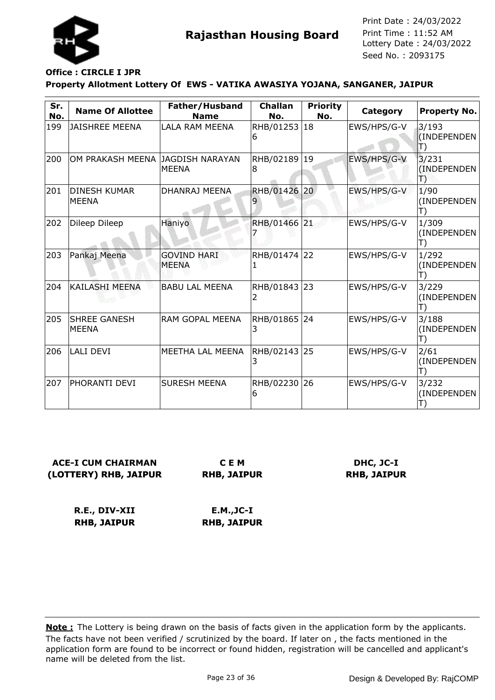

## **Office : CIRCLE I JPR**

### **Property Allotment Lottery Of EWS - VATIKA AWASIYA YOJANA, SANGANER, JAIPUR**

| Sr.<br>No. | <b>Name Of Allottee</b>             | Father/Husband<br><b>Name</b>          | <b>Challan</b><br>No. | <b>Priority</b><br>No. | Category    | <b>Property No.</b>        |
|------------|-------------------------------------|----------------------------------------|-----------------------|------------------------|-------------|----------------------------|
| 199        | <b>JAISHREE MEENA</b>               | LALA RAM MEENA                         | RHB/01253 18<br>6     |                        | EWS/HPS/G-V | 3/193<br>(INDEPENDEN<br>Π) |
| 200        | OM PRAKASH MEENA                    | <b>JAGDISH NARAYAN</b><br><b>MEENA</b> | RHB/02189<br>8        | $ 19\rangle$           | EWS/HPS/G-V | 3/231<br>(INDEPENDEN<br>B  |
| 201        | <b>DINESH KUMAR</b><br><b>MEENA</b> | DHANRAJ MEENA                          | <b>RHB/01426</b>      | 20 <sup>°</sup>        | EWS/HPS/G-V | 1/90<br>(INDEPENDEN        |
| 202        | Dileep Dileep                       | Haniyo                                 | RHB/01466 21          |                        | EWS/HPS/G-V | 1/309<br>(INDEPENDEN<br>T) |
| 203        | Pankaj Meena                        | <b>GOVIND HARI</b><br><b>MEENA</b>     | RHB/01474<br>1        | 22                     | EWS/HPS/G-V | 1/292<br>(INDEPENDEN<br>T) |
| 204        | KAILASHI MEENA                      | <b>BABU LAL MEENA</b>                  | RHB/01843 23<br>2     |                        | EWS/HPS/G-V | 3/229<br>(INDEPENDEN<br>T) |
| 205        | <b>SHREE GANESH</b><br><b>MEENA</b> | RAM GOPAL MEENA                        | RHB/01865<br>3        | 24                     | EWS/HPS/G-V | 3/188<br>(INDEPENDEN<br>T) |
| 206        | <b>LALI DEVI</b>                    | MEETHA LAL MEENA                       | RHB/02143 25<br>3     |                        | EWS/HPS/G-V | 2/61<br>(INDEPENDEN<br>T)  |
| 207        | PHORANTI DEVI                       | <b>SURESH MEENA</b>                    | RHB/02230 26<br>6     |                        | EWS/HPS/G-V | 3/232<br>(INDEPENDEN       |

**ACE-I CUM CHAIRMAN (LOTTERY) RHB, JAIPUR**

**C E M RHB, JAIPUR**

**DHC, JC-I RHB, JAIPUR**

**R.E., DIV-XII RHB, JAIPUR**

**E.M.,JC-I RHB, JAIPUR**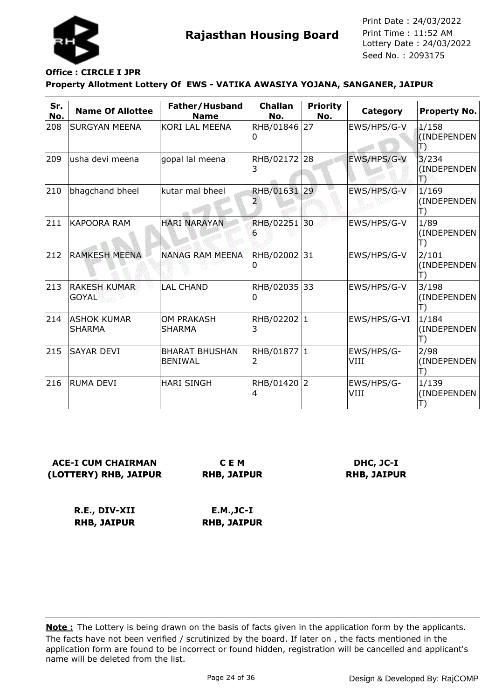

# **Office : CIRCLE I JPR**

### **Property Allotment Lottery Of EWS - VATIKA AWASIYA YOJANA, SANGANER, JAIPUR**

| Sr.<br>No. | <b>Name Of Allottee</b>             | Father/Husband<br><b>Name</b>           | <b>Challan</b><br>No. | <b>Priority</b><br>No. | Category           | <b>Property No.</b>                  |
|------------|-------------------------------------|-----------------------------------------|-----------------------|------------------------|--------------------|--------------------------------------|
| 208        | <b>SURGYAN MEENA</b>                | KORI LAL MEENA                          | RHB/01846 27<br>0     |                        | EWS/HPS/G-V        | 1/158<br>(INDEPENDEN<br>$\ket{\top}$ |
| 209        | usha devi meena                     | gopal lal meena                         | RHB/02172 28<br>3     |                        | EWS/HPS/G-V        | 3/234<br>(INDEPENDEN)<br>Ð           |
| 210        | bhagchand bheel                     | kutar mal bheel                         | RHB/01631 29          |                        | EWS/HPS/G-V        | 1/169<br>(INDEPENDEN<br>T)           |
| 211        | <b>KAPOORA RAM</b>                  | <b>HARI NARAYAN</b>                     | RHB/02251<br>6        | 30                     | EWS/HPS/G-V        | 1/89<br>(INDEPENDEN<br>T)            |
| 212        | <b>RAMKESH MEENA</b>                | <b>NANAG RAM MEENA</b>                  | RHB/02002 31<br>0     |                        | EWS/HPS/G-V        | 2/101<br>(INDEPENDEN<br>T)           |
| 213        | <b>RAKESH KUMAR</b><br><b>GOYAL</b> | <b>LAL CHAND</b>                        | RHB/02035 33<br>0     |                        | EWS/HPS/G-V        | 3/198<br>(INDEPENDEN<br>T)           |
| 214        | <b>ASHOK KUMAR</b><br><b>SHARMA</b> | <b>OM PRAKASH</b><br>SHARMA             | RHB/02202 1<br>3      |                        | EWS/HPS/G-VI       | 1/184<br>(INDEPENDEN<br>T)           |
| 215        | <b>SAYAR DEVI</b>                   | <b>BHARAT BHUSHAN</b><br><b>BENIWAL</b> | RHB/01877 1<br>2      |                        | EWS/HPS/G-<br>VIII | 2/98<br>(INDEPENDEN<br>T)            |
| 216        | <b>RUMA DEVI</b>                    | <b>HARI SINGH</b>                       | RHB/01420 2<br>4      |                        | EWS/HPS/G-<br>VIII | 1/139<br>(INDEPENDEN                 |

## **ACE-I CUM CHAIRMAN (LOTTERY) RHB, JAIPUR**

**C E M RHB, JAIPUR**

### **DHC, JC-I RHB, JAIPUR**

**R.E., DIV-XII RHB, JAIPUR E.M.,JC-I RHB, JAIPUR**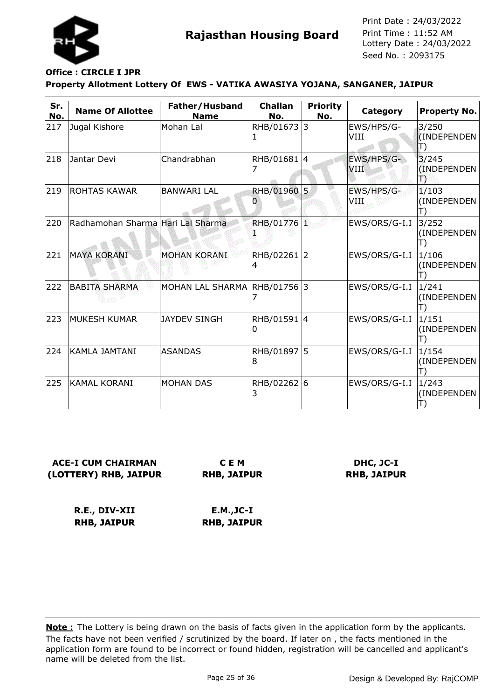

# **Office : CIRCLE I JPR**

### **Property Allotment Lottery Of EWS - VATIKA AWASIYA YOJANA, SANGANER, JAIPUR**

| Sr.<br>No. | <b>Name Of Allottee</b>           | Father/Husband<br><b>Name</b> | <b>Challan</b><br>No. | <b>Priority</b><br>No. | Category                  | Property No.                             |
|------------|-----------------------------------|-------------------------------|-----------------------|------------------------|---------------------------|------------------------------------------|
| 217        | Jugal Kishore                     | Mohan Lal                     | RHB/01673 3           |                        | EWS/HPS/G-<br>VIII        | 3/250<br>(INDEPENDEN<br>$\ket{\!\!\top}$ |
| 218        | Jantar Devi                       | Chandrabhan                   | RHB/01681 4           |                        | EWS/HPS/G-<br><b>VIII</b> | 3/245<br>(INDEPENDEN<br>B                |
| 219        | <b>ROHTAS KAWAR</b>               | <b>BANWARI LAL</b>            | RHB/01960<br>0        | 5 <sub>1</sub>         | EWS/HPS/G-<br>VIII        | 1/103<br>(INDEPENDEN<br>$\Box$           |
| 220        | Radhamohan Sharma Hari Lal Sharma |                               | RHB/01776 1           |                        | EWS/ORS/G-I.I             | 3/252<br>(INDEPENDEN                     |
| 221        | <b>MAYA KORANI</b>                | <b>MOHAN KORANI</b>           | RHB/02261 2<br>4      |                        | EWS/ORS/G-I.I             | 1/106<br>(INDEPENDEN                     |
| 222        | <b>BABITA SHARMA</b>              | MOHAN LAL SHARMA              | RHB/01756             | l3                     | EWS/ORS/G-I.I             | 1/241<br>(INDEPENDEN                     |
| 223        | <b>MUKESH KUMAR</b>               | <b>JAYDEV SINGH</b>           | RHB/01591 4<br>0      |                        | EWS/ORS/G-I.I             | 1/151<br>(INDEPENDEN                     |
| 224        | <b>KAMLA JAMTANI</b>              | <b>ASANDAS</b>                | RHB/01897 5<br>8      |                        | EWS/ORS/G-I.I             | 1/154<br>(INDEPENDEN<br>$\Box$           |
| 225        | <b>KAMAL KORANI</b>               | <b>MOHAN DAS</b>              | RHB/02262 6<br>3      |                        | EWS/ORS/G-I.I             | 1/243<br>(INDEPENDEN                     |

**ACE-I CUM CHAIRMAN (LOTTERY) RHB, JAIPUR**

**C E M RHB, JAIPUR**

**DHC, JC-I RHB, JAIPUR**

**R.E., DIV-XII RHB, JAIPUR**

**E.M.,JC-I RHB, JAIPUR**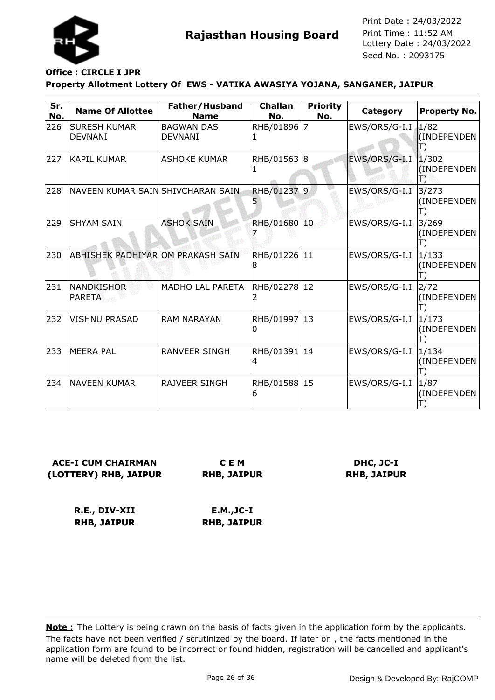

## **Office : CIRCLE I JPR**

### **Property Allotment Lottery Of EWS - VATIKA AWASIYA YOJANA, SANGANER, JAIPUR**

| Sr.<br>No. | <b>Name Of Allottee</b>               | Father/Husband<br><b>Name</b>       | <b>Challan</b><br>No. | <b>Priority</b><br>No. | Category      | <b>Property No.</b>        |
|------------|---------------------------------------|-------------------------------------|-----------------------|------------------------|---------------|----------------------------|
| 226        | <b>SURESH KUMAR</b><br><b>DEVNANI</b> | <b>BAGWAN DAS</b><br><b>DEVNANI</b> | RHB/01896             | $\overline{7}$         | EWS/ORS/G-I.I | 1/82<br>(INDEPENDEN        |
| 227        | KAPIL KUMAR                           | lashoke kumar                       | RHB/01563  8          |                        | EWS/ORS/G-I.I | 1/302<br>(INDEPENDEN)<br>报 |
| 228        | NAVEEN KUMAR SAIN SHIVCHARAN SAIN     |                                     | RHB/01237 9           |                        | EWS/ORS/G-I.I | 3/273<br>(INDEPENDEN       |
| 229        | İSHYAM SAIN                           | <b>ASHOK SAIN</b>                   | RHB/01680 10          |                        | EWS/ORS/G-I.I | 3/269<br>(INDEPENDEN       |
| 230        | ABHISHEK PADHIYAR OM PRAKASH SAIN     |                                     | RHB/01226 11<br>8     |                        | EWS/ORS/G-I.I | 1/133<br>(INDEPENDEN       |
| 231        | NANDKISHOR<br><b>PARETA</b>           | <b>MADHO LAL PARETA</b>             | RHB/02278  12         |                        | EWS/ORS/G-I.I | 2/72<br>(INDEPENDEN        |
| 232        | VISHNU PRASAD                         | <b>RAM NARAYAN</b>                  | RHB/01997 13<br>0     |                        | EWS/ORS/G-I.I | 1/173<br>(INDEPENDEN       |
| 233        | <b>MEERA PAL</b>                      | <b>RANVEER SINGH</b>                | RHB/01391 14<br>4     |                        | EWS/ORS/G-I.I | 1/134<br>(INDEPENDEN       |
| 234        | <b>NAVEEN KUMAR</b>                   | <b>RAJVEER SINGH</b>                | RHB/01588 15<br>6     |                        | EWS/ORS/G-I.I | 1/87<br>(INDEPENDEN        |

**ACE-I CUM CHAIRMAN (LOTTERY) RHB, JAIPUR**

**C E M RHB, JAIPUR**

**DHC, JC-I RHB, JAIPUR**

**R.E., DIV-XII RHB, JAIPUR**

**E.M.,JC-I RHB, JAIPUR**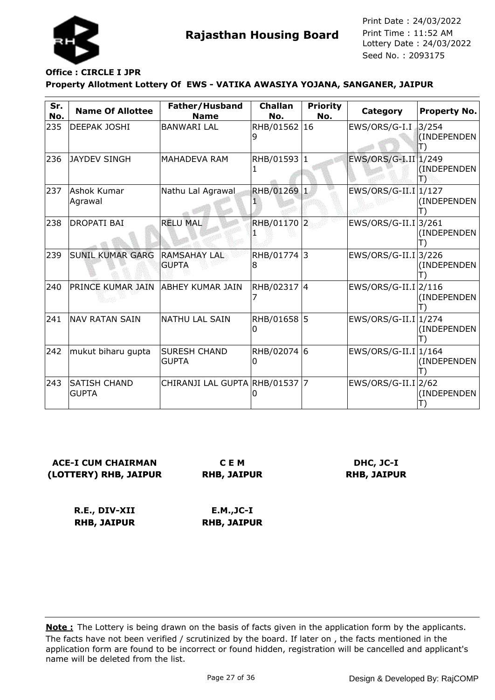

# **Office : CIRCLE I JPR**

### **Property Allotment Lottery Of EWS - VATIKA AWASIYA YOJANA, SANGANER, JAIPUR**

| Sr.<br>No. | <b>Name Of Allottee</b>             | Father/Husband<br><b>Name</b>       | <b>Challan</b><br>No. | <b>Priority</b><br>No. | Category                         | <b>Property No.</b>  |
|------------|-------------------------------------|-------------------------------------|-----------------------|------------------------|----------------------------------|----------------------|
| 235        | DEEPAK JOSHI                        | <b>BANWARI LAL</b>                  | RHB/01562 16          |                        | EWS/ORS/G-I.I                    | 3/254<br>(INDEPENDEN |
| 236        | <b>JAYDEV SINGH</b>                 | MAHADEVA RAM                        | RHB/01593 1           |                        | EWS/ORS/G-I.II 1/249             | (INDEPENDEN)<br>13   |
| 237        | Ashok Kumar<br>Agrawal              | Nathu Lal Agrawal                   | RHB/01269 1           |                        | $EWS/ORS/G-II.I$                 | 1/127<br>(INDEPENDEN |
| 238        | DROPATI BAI                         | <b>RELU MAL</b>                     | RHB/01170 2           |                        | EWS/ORS/G-II.I 3/261             | (INDEPENDEN          |
| 239        | <b>SUNIL KUMAR GARG</b>             | <b>RAMSAHAY LAL</b><br><b>GUPTA</b> | RHB/01774 3<br>8      |                        | $EWS/ORS/G-II.I 3/226$           | (INDEPENDEN          |
| 240        | PRINCE KUMAR JAIN  ABHEY KUMAR JAIN |                                     | RHB/02317 4<br>7      |                        | EWS/ORS/G-II.I 2/116             | (INDEPENDEN          |
| 241        | <b>NAV RATAN SAIN</b>               | <b>NATHU LAL SAIN</b>               | RHB/01658<br>0        | 5                      | $EWS/ORS/G-II.I 1/274$           | (INDEPENDEN          |
| 242        | mukut biharu gupta                  | <b>SURESH CHAND</b><br><b>GUPTA</b> | RHB/02074 6<br>0      |                        | $EWS/ORS/G-II.I 1/164$           | (INDEPENDEN          |
| 243        | <b>SATISH CHAND</b><br><b>GUPTA</b> | CHIRANJI LAL GUPTA RHB/01537 7      |                       |                        | $EWS/ORS/G-II.I$ <sup>2/62</sup> | (INDEPENDEN          |

## **ACE-I CUM CHAIRMAN (LOTTERY) RHB, JAIPUR**

**C E M RHB, JAIPUR**

## **DHC, JC-I RHB, JAIPUR**

**R.E., DIV-XII RHB, JAIPUR E.M.,JC-I RHB, JAIPUR**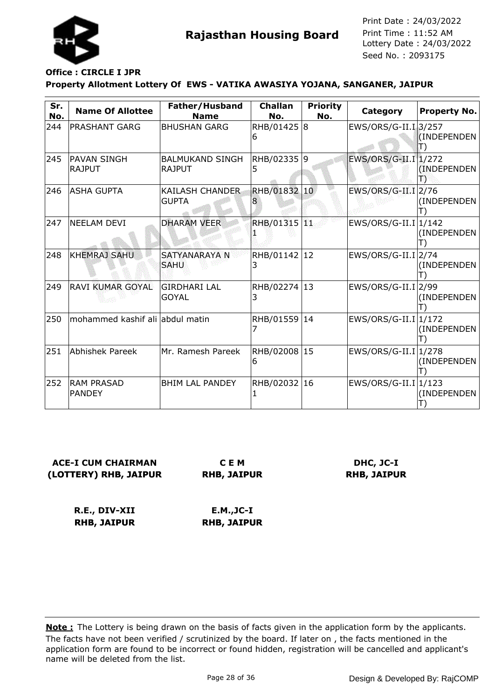

## **Office : CIRCLE I JPR**

### **Property Allotment Lottery Of EWS - VATIKA AWASIYA YOJANA, SANGANER, JAIPUR**

| Sr.<br>No. | <b>Name Of Allottee</b>             | Father/Husband<br><b>Name</b>           | <b>Challan</b><br>No. | <b>Priority</b><br>No. | Category                          | Property No. |
|------------|-------------------------------------|-----------------------------------------|-----------------------|------------------------|-----------------------------------|--------------|
| 244        | <b>PRASHANT GARG</b>                | <b>BHUSHAN GARG</b>                     | RHB/01425<br>6        | 8                      | EWS/ORS/G-II.I 3/257              | (INDEPENDEN  |
| 245        | <b>PAVAN SINGH</b><br><b>RAJPUT</b> | <b>BALMUKAND SINGH</b><br><b>RAJPUT</b> | RHB/02335 9<br>5      |                        | EWS/ORS/G-II.I 1/272              | (INDEPENDEN) |
| 246        | <b>ASHA GUPTA</b>                   | <b>KAILASH CHANDER</b><br><b>GUPTA</b>  | RHB/01832<br>8        | $ 10\rangle$           | $EWS/ORS/G-II.I$ <sub>2</sub> /76 | (INDEPENDEN  |
| 247        | <b>NEELAM DEVI</b>                  | <b>DHARAM VEER</b>                      | RHB/01315 11          |                        | $EWS/ORS/G-II.I 1/142$            | (INDEPENDEN  |
| 248        | <b>KHEMRAJ SAHU</b>                 | SATYANARAYA N<br><b>SAHU</b>            | RHB/01142 12<br>3     |                        | EWS/ORS/G-II.I 2/74               | (INDEPENDEN  |
| 249        | <b>RAVI KUMAR GOYAL</b>             | <b>GIRDHARI LAL</b><br><b>GOYAL</b>     | RHB/02274 13<br>3     |                        | $EWS/ORS/G-II.I$ <sup>2/99</sup>  | (INDEPENDEN  |
| 250        | mohammed kashif ali abdul matin     |                                         | RHB/01559             | 14                     | $EWS/ORS/G-II.I 1/172$            | (INDEPENDEN  |
| 251        | <b>Abhishek Pareek</b>              | Mr. Ramesh Pareek                       | RHB/02008 15<br>6     |                        | $EWS/ORS/G-II.I 1/278$            | (INDEPENDEN  |
| 252        | <b>RAM PRASAD</b><br><b>PANDEY</b>  | <b>BHIM LAL PANDEY</b>                  | RHB/02032 16          |                        | EWS/ORS/G-II.I 1/123              | (INDEPENDEN  |

## **ACE-I CUM CHAIRMAN (LOTTERY) RHB, JAIPUR**

**C E M RHB, JAIPUR**

### **DHC, JC-I RHB, JAIPUR**

**R.E., DIV-XII RHB, JAIPUR E.M.,JC-I RHB, JAIPUR**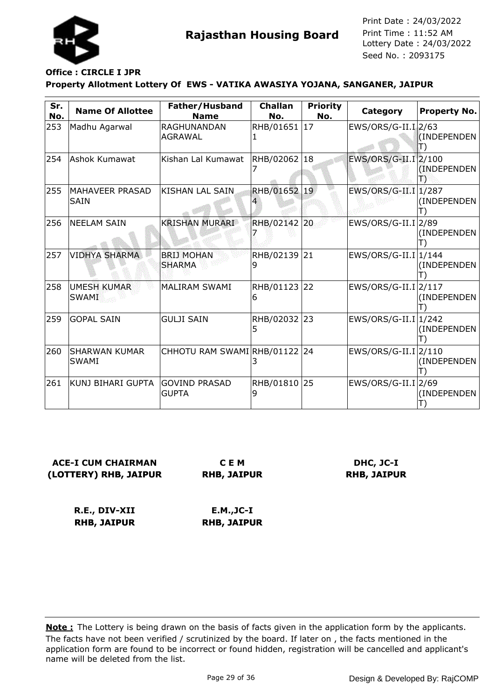

## **Office : CIRCLE I JPR**

#### **Property Allotment Lottery Of EWS - VATIKA AWASIYA YOJANA, SANGANER, JAIPUR**

| Sr.<br>No. | <b>Name Of Allottee</b>              | Father/Husband<br><b>Name</b>      | <b>Challan</b><br>No. | <b>Priority</b><br>No. | Category                          | <b>Property No.</b>  |
|------------|--------------------------------------|------------------------------------|-----------------------|------------------------|-----------------------------------|----------------------|
| 253        | Madhu Agarwal                        | RAGHUNANDAN<br><b>AGRAWAL</b>      | RHB/01651             | 17                     | EWS/ORS/G-II.I 2/63               | (INDEPENDEN          |
| 254        | Ashok Kumawat                        | Kishan Lal Kumawat                 | RHB/02062 18          |                        | EWS/ORS/G-II.I 2/100              | (INDEPENDEN<br>æ     |
| 255        | MAHAVEER PRASAD<br><b>SAIN</b>       | KISHAN LAL SAIN                    | RHB/01652             | 19                     | $EWS/ORS/G-II.I$                  | 1/287<br>(INDEPENDEN |
| 256        | <b>NEELAM SAIN</b>                   | <b>KRISHAN MURARI</b>              | RHB/02142 20          |                        | $EWS/ORS/G-II.I$ <sup>2/89</sup>  | (INDEPENDEN          |
| 257        | <b>VIDHYA SHARMA</b>                 | <b>BRIJ MOHAN</b><br><b>SHARMA</b> | RHB/02139<br>9        | 21                     | $EWS/ORS/G-II.I 1/144$            | (INDEPENDEN          |
| 258        | <b>UMESH KUMAR</b><br><b>SWAMI</b>   | MALIRAM SWAMI                      | RHB/01123 22<br>6     |                        | $EWS/ORS/G-II.I$ <sup>2/117</sup> | (INDEPENDEN          |
| 259        | <b>GOPAL SAIN</b>                    | <b>GULJI SAIN</b>                  | RHB/02032<br>5        | 23                     | $EWS/ORS/G-II.I 1/242$            | (INDEPENDEN          |
| 260        | <b>SHARWAN KUMAR</b><br><b>SWAMI</b> | CHHOTU RAM SWAMI RHB/01122 24      |                       |                        | EWS/ORS/G-II.I 2/110              | (INDEPENDEN          |
| 261        | KUNJ BIHARI GUPTA                    | lgovind prasad<br><b>GUPTA</b>     | RHB/01810 25<br>9     |                        | $EWS/ORS/G-II.I$ <sup>2/69</sup>  | (INDEPENDEN          |

**ACE-I CUM CHAIRMAN (LOTTERY) RHB, JAIPUR**

**C E M RHB, JAIPUR**

**DHC, JC-I RHB, JAIPUR**

**R.E., DIV-XII RHB, JAIPUR E.M.,JC-I RHB, JAIPUR**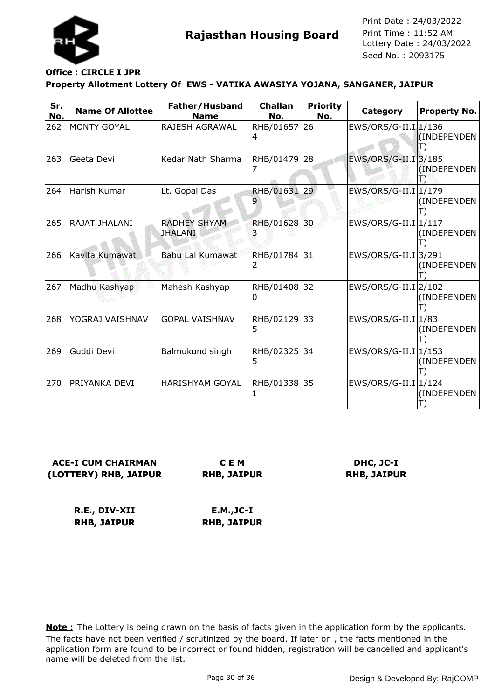

## **Office : CIRCLE I JPR**

### **Property Allotment Lottery Of EWS - VATIKA AWASIYA YOJANA, SANGANER, JAIPUR**

| Sr.<br>No. | <b>Name Of Allottee</b> | Father/Husband<br><b>Name</b>         | <b>Challan</b><br>No. | <b>Priority</b><br>No. | Category               | <b>Property No.</b>  |
|------------|-------------------------|---------------------------------------|-----------------------|------------------------|------------------------|----------------------|
| 262        | <b>MONTY GOYAL</b>      | <b>RAJESH AGRAWAL</b>                 | RHB/01657 26<br>4     |                        | EWS/ORS/G-II.I 1/136   | (INDEPENDEN          |
| 263        | Geeta Devi              | Kedar Nath Sharma                     | RHB/01479             | 28                     | EWS/ORS/G-II.I 3/185   | (INDEPENDEN          |
| 264        | Harish Kumar            | Lt. Gopal Das                         | RHB/01631             | 29                     | $EWS/ORS/G-II.I$       | 1/179<br>(INDEPENDEN |
| 265        | RAJAT JHALANI           | <b>RADHEY SHYAM</b><br><b>JHALANI</b> | RHB/01628 30          |                        | EWS/ORS/G-II.I 1/117   | (INDEPENDEN          |
| 266        | Kavita Kumawat          | <b>Babu Lal Kumawat</b>               | RHB/01784<br>2        | 31                     | $EWS/ORS/G-II.I 3/291$ | (INDEPENDEN          |
| 267        | Madhu Kashyap           | Mahesh Kashyap                        | RHB/01408 32<br>0     |                        | EWS/ORS/G-II.I 2/102   | (INDEPENDEN          |
| 268        | YOGRAJ VAISHNAV         | <b>GOPAL VAISHNAV</b>                 | RHB/02129<br>5        | 33                     | $EWS/ORS/G-II.I 1/83$  | (INDEPENDEN          |
| 269        | Guddi Devi              | Balmukund singh                       | RHB/02325 34<br>5     |                        | $EWS/ORS/G-II.I 1/153$ | (INDEPENDEN          |
| 270        | PRIYANKA DEVI           | <b>HARISHYAM GOYAL</b>                | RHB/01338 35          |                        | EWS/ORS/G-II.I 1/124   | (INDEPENDEN          |

**ACE-I CUM CHAIRMAN (LOTTERY) RHB, JAIPUR**

**C E M RHB, JAIPUR**

**DHC, JC-I RHB, JAIPUR**

**R.E., DIV-XII RHB, JAIPUR E.M.,JC-I RHB, JAIPUR**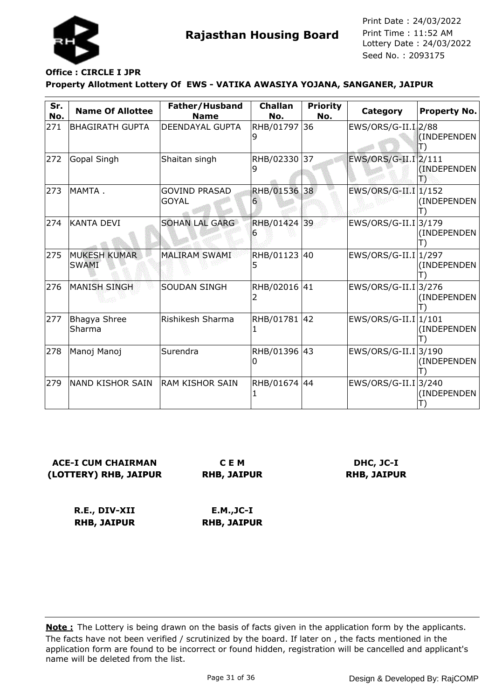

## **Office : CIRCLE I JPR**

### **Property Allotment Lottery Of EWS - VATIKA AWASIYA YOJANA, SANGANER, JAIPUR**

| Sr.<br>No. | <b>Name Of Allottee</b>             | Father/Husband<br><b>Name</b>        | <b>Challan</b><br>No. | <b>Priority</b><br>No. | Category                         | <b>Property No.</b> |
|------------|-------------------------------------|--------------------------------------|-----------------------|------------------------|----------------------------------|---------------------|
| 271        | <b>BHAGIRATH GUPTA</b>              | <b>DEENDAYAL GUPTA</b>               | RHB/01797             | 36                     | $EWS/ORS/G-II.I$ <sub>2/88</sub> | (INDEPENDEN         |
| 272        | Gopal Singh                         | Shaitan singh                        | RHB/02330<br>9        | 37                     | EWS/ORS/G-II.I 2/111             | (INDEPENDEN         |
| 273        | MAMTA.                              | <b>GOVIND PRASAD</b><br><b>GOYAL</b> | RHB/01536<br>6        | 38                     | $EWS/ORS/G-II.I 1/152$           | (INDEPENDEN         |
| 274        | <b>KANTA DEVI</b>                   | <b>SOHAN LAL GARG</b>                | RHB/01424 39<br>ь     |                        | EWS/ORS/G-II.I 3/179             | (INDEPENDEN         |
| 275        | <b>MUKESH KUMAR</b><br><b>SWAMI</b> | <b>MALIRAM SWAMI</b>                 | RHB/01123<br>5        | 40                     | $EWS/ORS/G-II.I 1/297$           | (INDEPENDEN         |
| 276        | <b>MANISH SINGH</b>                 | <b>SOUDAN SINGH</b>                  | RHB/02016<br>2        | 41                     | $EWS/ORS/G-II.I$ ]3/276          | (INDEPENDEN         |
| 277        | Bhagya Shree<br>Sharma              | Rishikesh Sharma                     | RHB/01781<br>1        | 42                     | $EWS/ORS/G-II.I 1/101$           | (INDEPENDEN         |
| 278        | Manoj Manoj                         | Surendra                             | RHB/01396 43<br>0     |                        | EWS/ORS/G-II.I 3/190             | (INDEPENDEN         |
| 279        | NAND KISHOR SAIN                    | <b>RAM KISHOR SAIN</b>               | RHB/01674 44          |                        | $EWS/ORS/G-II.I 3/240$           | (INDEPENDEN         |

**ACE-I CUM CHAIRMAN (LOTTERY) RHB, JAIPUR**

**C E M RHB, JAIPUR**

**DHC, JC-I RHB, JAIPUR**

**R.E., DIV-XII RHB, JAIPUR E.M.,JC-I RHB, JAIPUR**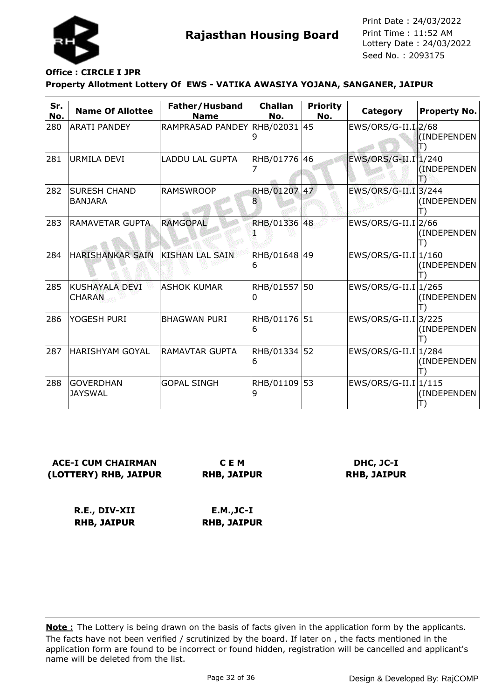

## **Office : CIRCLE I JPR**

### **Property Allotment Lottery Of EWS - VATIKA AWASIYA YOJANA, SANGANER, JAIPUR**

| Sr.<br>No. | <b>Name Of Allottee</b>                | Father/Husband<br><b>Name</b> | <b>Challan</b><br>No. | <b>Priority</b><br>No. | Category                | <b>Property No.</b>  |
|------------|----------------------------------------|-------------------------------|-----------------------|------------------------|-------------------------|----------------------|
| 280        | <b>ARATI PANDEY</b>                    | RAMPRASAD PANDEY RHB/02031    |                       | 45                     | EWS/ORS/G-II.I 2/68     | (INDEPENDEN          |
| 281        | <b>URMILA DEVI</b>                     | <b>LADDU LAL GUPTA</b>        | RHB/01776             | 46                     | EWS/ORS/G-II.I 1/240    | (INDEPENDEN)         |
| 282        | <b>SURESH CHAND</b><br><b>BANJARA</b>  | <b>RAMSWROOP</b>              | <b>RHB/01207</b><br>8 | 47                     | $EWS/ORS/G-II.I$ ]3/244 | (INDEPENDEN          |
| 283        | <b>RAMAVETAR GUPTA</b>                 | <b>RAMGOPAL</b>               | RHB/01336 48          |                        | EWS/ORS/G-II.I 2/66     | (INDEPENDEN          |
| 284        | <b>HARISHANKAR SAIN</b>                | <b>KISHAN LAL SAIN</b>        | RHB/01648 49<br>6     |                        | $EWS/ORS/G-II.I 1/160$  | (INDEPENDEN          |
| 285        | <b>KUSHAYALA DEVI</b><br><b>CHARAN</b> | <b>ASHOK KUMAR</b>            | RHB/01557<br>0        | 50                     | $EWS/ORS/G-II.I 1/265$  | (INDEPENDEN          |
| 286        | YOGESH PURI                            | <b>BHAGWAN PURI</b>           | RHB/01176<br>6        | 51                     | EWS/ORS/G-II.I 3/225    | (INDEPENDEN          |
| 287        | HARISHYAM GOYAL                        | RAMAVTAR GUPTA                | RHB/01334<br>6        | 52                     | EWS/ORS/G-II.I          | 1/284<br>(INDEPENDEN |
| 288        | <b>GOVERDHAN</b><br><b>JAYSWAL</b>     | <b>GOPAL SINGH</b>            | RHB/01109 53<br>9     |                        | EWS/ORS/G-II.I 1/115    | (INDEPENDEN          |

**ACE-I CUM CHAIRMAN (LOTTERY) RHB, JAIPUR**

**C E M RHB, JAIPUR**

**DHC, JC-I RHB, JAIPUR**

**R.E., DIV-XII RHB, JAIPUR E.M.,JC-I RHB, JAIPUR**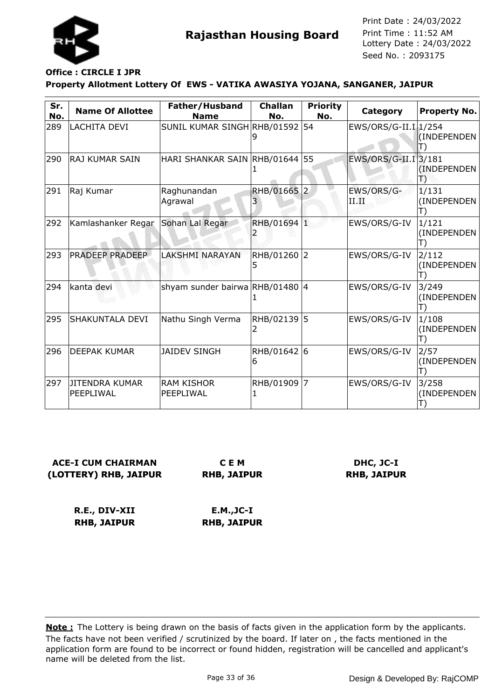

#### **Property Allotment Lottery Of EWS - VATIKA AWASIYA YOJANA, SANGANER, JAIPUR Office : CIRCLE I JPR**

| Sr.<br>No. | <b>Name Of Allottee</b>            | Father/Husband<br><b>Name</b>   | <b>Challan</b><br>No. | <b>Priority</b><br>No. | Category             | <b>Property No.</b>        |
|------------|------------------------------------|---------------------------------|-----------------------|------------------------|----------------------|----------------------------|
| 289        | LACHITA DEVI                       | SUNIL KUMAR SINGH RHB/01592     |                       | 54                     | EWS/ORS/G-II.I 1/254 | (INDEPENDEN                |
| 290        | <b>RAJ KUMAR SAIN</b>              | HARI SHANKAR SAIN RHB/01644 55  |                       |                        | EWS/ORS/G-II.I 3/181 | (INDEPENDEN<br>Ъ           |
| 291        | Raj Kumar                          | Raghunandan<br>Agrawal          | RHB/01665 2           |                        | EWS/ORS/G-<br>ПŒ     | 1/131<br>(INDEPENDEN<br>T) |
| 292        | Kamlashanker Regar                 | Sohan Lal Regar                 | RHB/01694 1           |                        | EWS/ORS/G-IV         | 1/121<br>(INDEPENDEN       |
| 293        | <b>PRADEEP PRADEEP</b>             | <b>LAKSHMI NARAYAN</b>          | RHB/01260 2<br>5      |                        | EWS/ORS/G-IV         | 2/112<br>(INDEPENDEN       |
| 294        | kanta devi                         | shyam sunder bairwa RHB/01480 4 |                       |                        | EWS/ORS/G-IV         | 3/249<br>(INDEPENDEN       |
| 295        | SHAKUNTALA DEVI                    | Nathu Singh Verma               | RHB/02139 5<br>2      |                        | EWS/ORS/G-IV         | 1/108<br>(INDEPENDEN       |
| 296        | DEEPAK KUMAR                       | <b>JAIDEV SINGH</b>             | RHB/01642 6<br>6      |                        | EWS/ORS/G-IV         | 2/57<br>(INDEPENDEN        |
| 297        | <b>JITENDRA KUMAR</b><br>PEEPLIWAL | <b>RAM KISHOR</b><br>PEEPLIWAL  | RHB/01909 7           |                        | EWS/ORS/G-IV         | 3/258<br>(INDEPENDEN       |

**ACE-I CUM CHAIRMAN (LOTTERY) RHB, JAIPUR**

**C E M RHB, JAIPUR**

**DHC, JC-I RHB, JAIPUR**

**R.E., DIV-XII RHB, JAIPUR**

**E.M.,JC-I RHB, JAIPUR**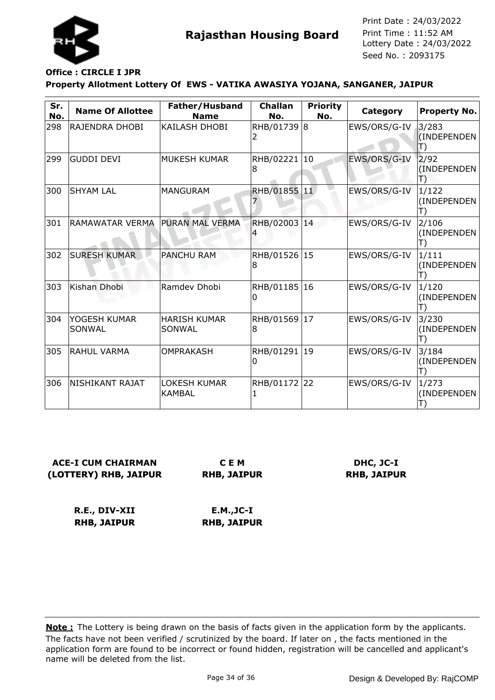

## **Office : CIRCLE I JPR**

### **Property Allotment Lottery Of EWS - VATIKA AWASIYA YOJANA, SANGANER, JAIPUR**

| Sr.<br>No. | <b>Name Of Allottee</b> | Father/Husband<br><b>Name</b>        | <b>Challan</b><br>No.        | <b>Priority</b><br>No. | Category     | <b>Property No.</b>                  |
|------------|-------------------------|--------------------------------------|------------------------------|------------------------|--------------|--------------------------------------|
| 298        | RAJENDRA DHOBI          | KAILASH DHOBI                        | RHB/01739 8<br>$\mathcal{L}$ |                        | EWS/ORS/G-IV | 3/283<br>(INDEPENDEN<br>$\ket{\top}$ |
| 299        | <b>GUDDI DEVI</b>       | <b>MUKESH KUMAR</b>                  | RHB/02221 10<br>8            |                        | EWS/ORS/G-IV | 2/92<br>(INDEPENDEN)<br>鳵            |
| 300        | <b>SHYAM LAL</b>        | <b>MANGURAM</b>                      | RHB/01855 11                 |                        | EWS/ORS/G-IV | 1/122<br>(INDEPENDEN<br>Ш            |
| 301        | RAMAWATAR VERMA         | <b>PURAN MAL VERMA</b>               | RHB/02003 14                 |                        | EWS/ORS/G-IV | 2/106<br>(INDEPENDEN<br>$\Box$       |
| 302        | <b>SURESH KUMAR</b>     | <b>PANCHU RAM</b>                    | RHB/01526 15<br>8            |                        | EWS/ORS/G-IV | 1/111<br>(INDEPENDEN<br>T)           |
| 303        | Kishan Dhobi            | Ramdev Dhobi                         | RHB/01185 16<br>0            |                        | EWS/ORS/G-IV | 1/120<br>(INDEPENDEN<br>Ш            |
| 304        | YOGESH KUMAR<br>SONWAL  | <b>HARISH KUMAR</b><br>SONWAL        | RHB/01569<br>8               | 17                     | EWS/ORS/G-IV | 3/230<br>(INDEPENDEN                 |
| 305        | <b>RAHUL VARMA</b>      | <b>OMPRAKASH</b>                     | RHB/01291 19<br>0            |                        | EWS/ORS/G-IV | 3/184<br>(INDEPENDEN<br>T)           |
| 306        | NISHIKANT RAJAT         | <b>LOKESH KUMAR</b><br><b>KAMBAL</b> | RHB/01172 22                 |                        | EWS/ORS/G-IV | 1/273<br>(INDEPENDEN                 |

**ACE-I CUM CHAIRMAN (LOTTERY) RHB, JAIPUR**

**C E M RHB, JAIPUR**

**DHC, JC-I RHB, JAIPUR**

**R.E., DIV-XII RHB, JAIPUR**

**E.M.,JC-I RHB, JAIPUR**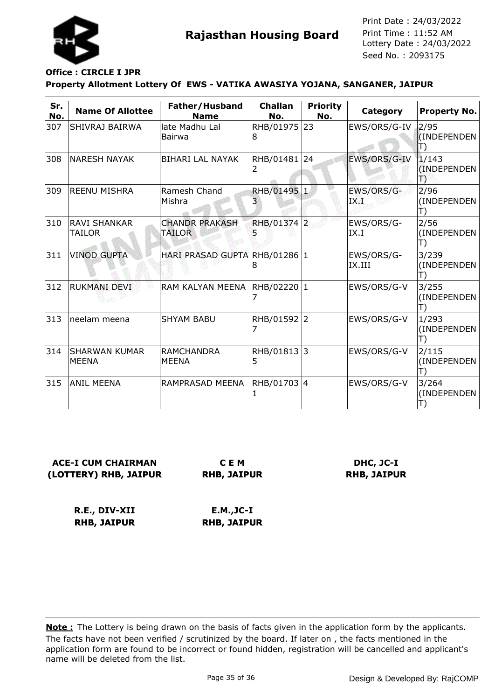

## **Office : CIRCLE I JPR**

### **Property Allotment Lottery Of EWS - VATIKA AWASIYA YOJANA, SANGANER, JAIPUR**

| Sr.<br>No. | <b>Name Of Allottee</b>              | Father/Husband<br><b>Name</b>     | <b>Challan</b><br>No. | <b>Priority</b><br>No. | Category             | <b>Property No.</b>            |
|------------|--------------------------------------|-----------------------------------|-----------------------|------------------------|----------------------|--------------------------------|
| 307        | SHIVRAJ BAIRWA                       | late Madhu Lal<br>Bairwa          | RHB/01975 23<br>8     |                        | EWS/ORS/G-IV         | 2/95<br>(INDEPENDEN<br>T)      |
| 308        | <b>NARESH NAYAK</b>                  | <b>BIHARI LAL NAYAK</b>           | RHB/01481 24<br>2     |                        | EWS/ORS/G-IV         | 1/143<br>(INDEPENDEN<br>Ð      |
| 309        | <b>REENU MISHRA</b>                  | Ramesh Chand<br>Mishra            | RHB/01495 1<br>3      |                        | EWS/ORS/G-<br>IX.I   | 2/96<br>(INDEPENDEN<br>T)      |
| 310        | <b>RAVI SHANKAR</b><br>TAILOR        | <b>CHANDR PRAKASH</b><br>TAILOR   | RHB/01374 2           |                        | EWS/ORS/G-<br>IX.I   | 2/56<br>(INDEPENDEN<br>T)      |
| 311        | <b>VINOD GUPTA</b>                   | HARI PRASAD GUPTA RHB/01286 1     | 8                     |                        | EWS/ORS/G-<br>IX.III | 3/239<br>(INDEPENDEN<br>T)     |
| 312        | <b>RUKMANI DEVI</b>                  | RAM KALYAN MEENA                  | RHB/02220  1          |                        | EWS/ORS/G-V          | 3/255<br>(INDEPENDEN<br>T)     |
| 313        | neelam meena                         | <b>SHYAM BABU</b>                 | RHB/01592 2<br>7      |                        | EWS/ORS/G-V          | 1/293<br>(INDEPENDEN<br>$\Box$ |
| 314        | <b>SHARWAN KUMAR</b><br><b>MEENA</b> | <b>RAMCHANDRA</b><br><b>MEENA</b> | RHB/01813 3<br>5      |                        | EWS/ORS/G-V          | 2/115<br>(INDEPENDEN<br>T)     |
| 315        | <b>ANIL MEENA</b>                    | RAMPRASAD MEENA                   | RHB/01703 4           |                        | EWS/ORS/G-V          | 3/264<br>(INDEPENDEN           |

**ACE-I CUM CHAIRMAN (LOTTERY) RHB, JAIPUR**

**C E M RHB, JAIPUR**

**DHC, JC-I RHB, JAIPUR**

**R.E., DIV-XII RHB, JAIPUR E.M.,JC-I RHB, JAIPUR**